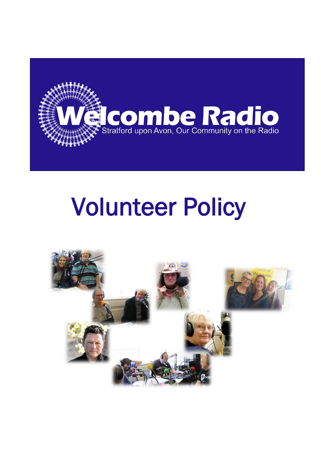

# Volunteer Policy

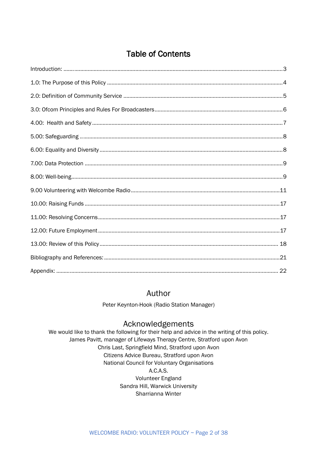# **Table of Contents**

# Author

Peter Keynton-Hook (Radio Station Manager)

# Acknowledgements

<span id="page-1-0"></span>We would like to thank the following for their help and advice in the writing of this policy. James Pavitt, manager of Lifeways Therapy Centre, Stratford upon Avon Chris Last, Springfield Mind, Stratford upon Avon Citizens Advice Bureau, Stratford upon Avon National Council for Voluntary Organisations A.C.A.S. Volunteer England Sandra Hill, Warwick University Sharrianna Winter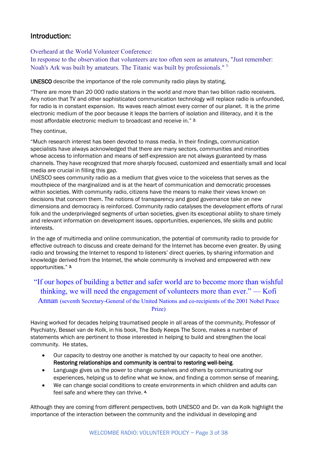# Introduction:

Overheard at the World Volunteer Conference:

In response to the observation that volunteers are too often seen as amateurs, "Just remember: Noah's Ark was built by amateurs. The Titanic was built by professionals."

UNESCO describe the importance of the role community radio plays by stating,

"There are more than 20 000 radio stations in the world and more than two billion radio receivers. Any notion that TV and other sophisticated communication technology will replace radio is unfounded, for radio is in constant expansion. Its waves reach almost every corner of our planet. It is the prime electronic medium of the poor because it leaps the barriers of isolation and illiteracy, and it is the most affordable electronic medium to broadcast and receive in." 2.

#### They continue,

"Much research interest has been devoted to mass media. In their findings, communication specialists have always acknowledged that there are many sectors, communities and minorities whose access to information and means of self-expression are not always guaranteed by mass channels. They have recognized that more sharply focused, customized and essentially small and local media are crucial in filling this gap.

UNESCO sees community radio as a medium that gives voice to the voiceless that serves as the mouthpiece of the marginalized and is at the heart of communication and democratic processes within societies. With community radio, citizens have the means to make their views known on decisions that concern them. The notions of transparency and good governance take on new dimensions and democracy is reinforced. Community radio catalyses the development efforts of rural folk and the underprivileged segments of urban societies, given its exceptional ability to share timely and relevant information on development issues, opportunities, experiences, life skills and public interests.

In the age of multimedia and online communication, the potential of community radio to provide for effective outreach to discuss and create demand for the Internet has become even greater. By using radio and browsing the Internet to respond to listeners' direct queries, by sharing information and knowledge derived from the Internet, the whole community is involved and empowered with new opportunities." 3.

## "If our hopes of building a better and safer world are to become more than wishful thinking, we will need the engagement of volunteers more than ever." — Kofi Annan (seventh Secretary-General of the United Nations and co-recipients of the 2001 Nobel Peace Prize)

Having worked for decades helping traumatised people in all areas of the community, Professor of Psychiatry, Bessel van de Kolk, in his book, The Body Keeps The Score, makes a number of statements which are pertinent to those interested in helping to build and strengthen the local community. He states,

- Our capacity to destroy one another is matched by our capacity to heal one another. Restoring relationships and community is central to restoring well-being.
- Language gives us the power to change ourselves and others by communicating our experiences, helping us to define what we know, and finding a common sense of meaning.
- We can change social conditions to create environments in which children and adults can feel safe and where they can thrive. 4.

Although they are coming from different perspectives, both UNESCO and Dr. van da Kolk highlight the importance of the interaction between the community and the individual in developing and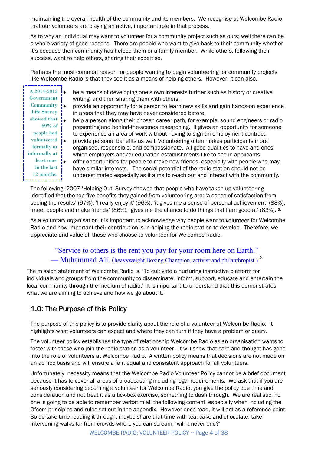maintaining the overall health of the community and its members. We recognise at Welcombe Radio that our volunteers are playing an active, important role in that process.

As to why an individual may want to volunteer for a community project such as ours; well there can be a whole variety of good reasons. There are people who want to give back to their community whether it's because their community has helped them or a family member. While others, following their success, want to help others, sharing their expertise.

Perhaps the most common reason for people wanting to begin volunteering for community projects like Welcombe Radio is that they see it as a means of helping others. However, it can also,

A 2014-2015 $\frac{1}{2}$ Government 1 Community 1 Life Survey showed that  $\frac{1}{1}$  $69\% \text{ of }$ people had volunteered <sub>1</sub> formally or  $\frac{1}{2}$ informally at least once  $\frac{1}{1}$ in the last 12 months.

- be a means of developing one's own interests further such as history or creative writing, and then sharing them with others.
- provide an opportunity for a person to learn new skills and gain hands-on experience in areas that they may have never considered before.
- help a person along their chosen career path, for example, sound engineers or radio presenting and behind-the-scenes researching. It gives an opportunity for someone to experience an area of work without having to sign an employment contract*.* • provide personal benefits as well. Volunteering often makes participants more organised, responsible, and compassionate. All good qualities to have and ones
- which employers and/or education establishments like to see in applicants.
- offer opportunities for people to make new friends, especially with people who may have similar interests. The social potential of the radio station should not be underestimated especially as it aims to reach out and interact with the community.

The following, 2007 'Helping Out' Survey showed that people who have taken up volunteering identified that the top five benefits they gained from volunteering are: 'a sense of satisfaction from seeing the results' (97%), 'I really enjoy it' (96%), 'it gives me a sense of personal achievement' (88%), 'meet people and make friends' (86%), 'gives me the chance to do things that I am good at' (83%). 5.

As a voluntary organisation it is important to acknowledge why people want to volunteer for Welcombe Radio and how important their contribution is in helping the radio station to develop. Therefore, we appreciate and value all those who choose to volunteer for Welcombe Radio.

# "Service to others is the rent you pay for your room here on Earth." – Muhammad Ali. (heavyweight Boxing Champion, activist and philanthropist.)<sup>6.</sup>

The mission statement of Welcombe Radio is, 'To cultivate a nurturing instructive platform for individuals and groups from the community to disseminate, inform, support, educate and entertain the local community through the medium of radio.' It is important to understand that this demonstrates what we are aiming to achieve and how we go about it.

# <span id="page-3-0"></span>1.0: The Purpose of this Policy

The purpose of this policy is to provide clarity about the role of a volunteer at Welcombe Radio. It highlights what volunteers can expect and where they can turn if they have a problem or query.

The volunteer policy establishes the type of relationship Welcombe Radio as an organisation wants to foster with those who join the radio station as a volunteer. It will show that care and thought has gone into the role of volunteers at Welcombe Radio. A written policy means that decisions are not made on an ad hoc basis and will ensure a fair, equal and consistent approach for all volunteers.

Unfortunately, necessity means that the Welcombe Radio Volunteer Policy cannot be a brief document because it has to cover all areas of broadcasting including legal requirements. We ask that if you are seriously considering becoming a volunteer for Welcombe Radio, you give the policy due time and consideration and not treat it as a tick-box exercise, something to dash through. We are realistic, no one is going to be able to remember verbatim all the following content, especially when including the Ofcom principles and rules set out in the appendix. However once read, it will act as a reference point. So do take time reading it through, maybe share that time with tea, cake and chocolate, take intervening walks far from crowds where you can scream, 'will it never end?'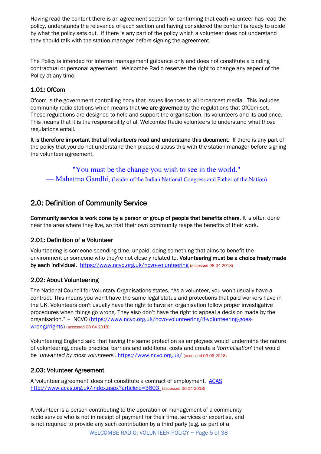Having read the content there is an agreement section for confirming that each volunteer has read the policy, understands the relevance of each section and having considered the content is ready to abide by what the policy sets out. If there is any part of the policy which a volunteer does not understand they should talk with the station manager before signing the agreement.

The Policy is intended for internal management guidance only and does not constitute a binding contractual or personal agreement. Welcombe Radio reserves the right to change any aspect of the Policy at any time.

## 1.01: OfCom

Ofcom is the government controlling body that issues licences to all broadcast media. This includes community radio stations which means that we are governed by the regulations that OfCom set. These regulations are designed to help and support the organisation, its volunteers and its audience. This means that it is the responsibility of all Welcombe Radio volunteers to understand what those regulations entail.

It is therefore important that all volunteers read and understand this document. If there is any part of the policy that you do not understand then please discuss this with the station manager before signing the volunteer agreement.

"You must be the change you wish to see in the world." — Mahatma Gandhi, (leader of the Indian National Congress and Father of the Nation)

# <span id="page-4-0"></span>2.0: Definition of Community Service

Community service is work done by a person or group of people that benefits others. It is often done near the area where they live, so that their own community reaps the benefits of their work.

## 2.01: Definition of a Volunteer

Volunteering is someone spending time, unpaid, doing something that aims to benefit the environment or someone who they're not closely related to. Volunteering must be a choice freely made by each individual. <https://www.ncvo.org.uk/ncvo-volunteering> (accessed 08 04 2018)

## 2.02: About Volunteering

The National Council for Voluntary Organisations states, "As a volunteer, you won't usually have a contract. This means you won't have the same legal status and protections that paid workers have in the UK. Volunteers don't usually have the right to have an organisation follow proper investigative procedures when things go wrong. They also don't have the right to appeal a decision made by the organisation." - NCVO [\(https://www.ncvo.org.uk/ncvo-volunteering/if-volunteering-goes](https://www.ncvo.org.uk/ncvo-volunteering/if-volunteering-goes-wrong#rights)[wrong#rights\)](https://www.ncvo.org.uk/ncvo-volunteering/if-volunteering-goes-wrong#rights) (accessed 08 04 2018)

Volunteering England said that having the same protection as employees would 'undermine the nature of volunteering, create practical barriers and additional costs and create a '*formalisation*' that would be '*unwanted by most volunteers*'.<https://www.ncvo.org.uk/> (accessed 03 06 2018)

## 2.03: Volunteer Agreement

A 'volunteer agreement' does not constitute a contract of employment. [ACAS](file:///C:/Users/PLK-H/Documents/00%202018/02%20Welcombe%20Radio/02%20General%20Admin/02%20Policies/Volunteer%20Agreement/ACAS%20%20http:/www.acas.org.uk/index.aspx%3farticleid=3603%20%20(accessed%2006%2004%202018))  [http://www.acas.org.uk/index.aspx?articleid=3603](file:///C:/Users/PLK-H/Documents/00%202018/02%20Welcombe%20Radio/02%20General%20Admin/02%20Policies/Volunteer%20Agreement/ACAS%20%20http:/www.acas.org.uk/index.aspx%3farticleid=3603%20%20(accessed%2006%2004%202018)) (accessed 06 04 2018)

WELCOMBE RADIO: VOLUNTEER POLICY ~ Page 5 of 38 A volunteer is a person contributing to the operation or management of a community radio service who is not in receipt of payment for their time, services or expertise, and is not required to provide any such contribution by a third party (e.g. as part of a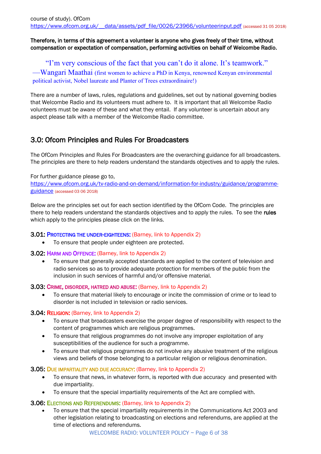#### Therefore, in terms of this agreement a volunteer is anyone who gives freely of their time, without compensation or expectation of compensation, performing activities on behalf of Welcombe Radio.

"I'm very conscious of the fact that you can't do it alone. It's teamwork." —Wangari Maathai (first women to achieve a PhD in Kenya, renowned Kenyan environmental political activist, Nobel laureate and Planter of Trees extraordinaire!)

There are a number of laws, rules, regulations and guidelines, set out by national governing bodies that Welcombe Radio and its volunteers must adhere to. It is important that all Welcombe Radio volunteers must be aware of these and what they entail. If any volunteer is uncertain about any aspect please talk with a member of the Welcombe Radio committee.

# <span id="page-5-0"></span>3.0: Ofcom Principles and Rules For Broadcasters

The OfCom Principles and Rules For Broadcasters are the overarching guidance for all broadcasters. The principles are there to help readers understand the standards objectives and to apply the rules.

#### For further guidance please go to,

[https://www.ofcom.org.uk/tv-radio-and-on-demand/information-for-industry/guidance/programme](https://www.ofcom.org.uk/tv-radio-and-on-demand/information-for-industry/guidance/programme-guidance)[guidance](https://www.ofcom.org.uk/tv-radio-and-on-demand/information-for-industry/guidance/programme-guidance) (accessed 03 06 2018)

Below are the principles set out for each section identified by the OfCom Code. The principles are there to help readers understand the standards objectives and to apply the rules. To see the rules which apply to the principles please click on the links.

#### 3.01: PROTECTING THE UNDER-EIGHTEENS: (Barney, link to Appendix 2)

To ensure that people under eighteen are protected.

#### 3.02: HARM AND OFFENCE: (Barney, link to Appendix 2)

• To ensure that generally accepted standards are applied to the content of television and radio services so as to provide adequate protection for members of the public from the inclusion in such services of harmful and/or offensive material.

#### 3.03: CRIME, DISORDER, HATRED AND ABUSE: (Barney, link to Appendix 2)

• To ensure that material likely to encourage or incite the commission of crime or to lead to disorder is not included in television or radio services.

#### 3.04: RELIGION: (Barney, link to Appendix 2)

- To ensure that broadcasters exercise the proper degree of responsibility with respect to the content of programmes which are religious programmes.
- To ensure that religious programmes do not involve any improper exploitation of any susceptibilities of the audience for such a programme.
- To ensure that religious programmes do not involve any abusive treatment of the religious views and beliefs of those belonging to a particular religion or religious denomination.

#### 3.05: DUE IMPARTIALITY AND DUE ACCURACY: (Barney, link to Appendix 2)

- To ensure that news, in whatever form, is reported with due accuracy and presented with due impartiality.
- To ensure that the special impartiality requirements of the Act are complied with.

#### 3.06: ELECTIONS AND REFERENDUMS: (Barney, link to Appendix 2)

• To ensure that the special impartiality requirements in the Communications Act 2003 and other legislation relating to broadcasting on elections and referendums, are applied at the time of elections and referendums.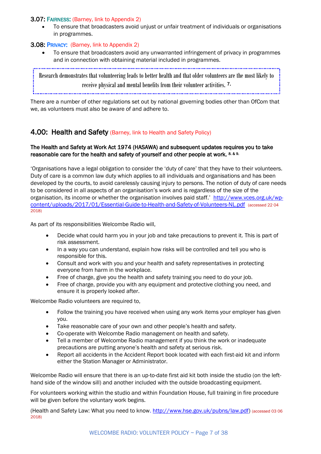#### 3.07: FAIRNESS: (Barney, link to Appendix 2)

• To ensure that broadcasters avoid unjust or unfair treatment of individuals or organisations in programmes.

#### 3.08: PRIVACY: (Barney, link to Appendix 2)

• To ensure that broadcasters avoid any unwarranted infringement of privacy in programmes and in connection with obtaining material included in programmes.

Research demonstrates that volunteering leads to better health and that older volunteers are the most likely to receive physical and mental benefits from their volunteer activities. 7.

There are a number of other regulations set out by national governing bodies other than OfCom that we, as volunteers must also be aware of and adhere to.

## <span id="page-6-0"></span>4.00: Health and Safety (Barney, link to Health and Safety Policy)

#### The Health and Safety at Work Act 1974 (HASAWA) and subsequent updates requires you to take reasonable care for the health and safety of yourself and other people at work. 8. & 9.

'Organisations have a legal obligation to consider the 'duty of care' that they have to their volunteers. Duty of care is a common law duty which applies to all individuals and organisations and has been developed by the courts, to avoid carelessly causing injury to persons. The notion of duty of care needs to be considered in all aspects of an organisation's work and is regardless of the size of the organisation, its income or whether the organisation involves paid staff.' [http://www.vces.org.uk/wp](http://www.vces.org.uk/wp-content/uploads/2017/01/Essential-Guide-to-Health-and-Safety-of-Volunteers-NL.pdf)[content/uploads/2017/01/Essential-Guide-to-Health-and-Safety-of-Volunteers-NL.pdf](http://www.vces.org.uk/wp-content/uploads/2017/01/Essential-Guide-to-Health-and-Safety-of-Volunteers-NL.pdf) (accessed 22 04 2018)

As part of its responsibilities Welcombe Radio will,

- Decide what could harm you in your job and take precautions to prevent it. This is part of risk assessment.
- In a way you can understand, explain how risks will be controlled and tell you who is responsible for this.
- Consult and work with you and your health and safety representatives in protecting everyone from harm in the workplace.
- Free of charge, give you the health and safety training you need to do your job.
- Free of charge, provide you with any equipment and protective clothing you need, and ensure it is properly looked after.

Welcombe Radio volunteers are required to,

- Follow the training you have received when using any work items your employer has given you.
- Take reasonable care of your own and other people's health and safety.
- Co-operate with Welcombe Radio management on health and safety.
- Tell a member of Welcombe Radio management if you think the work or inadequate precautions are putting anyone's health and safety at serious risk.
- Report all accidents in the Accident Report book located with each first-aid kit and inform either the Station Manager or Administrator.

Welcombe Radio will ensure that there is an up-to-date first aid kit both inside the studio (on the lefthand side of the window sill) and another included with the outside broadcasting equipment.

For volunteers working within the studio and within Foundation House, full training in fire procedure will be given before the voluntary work begins.

(Health and Safety Law: What you need to kno[w. http://www.hse.gov.uk/pubns/law.pdf\)](file:///C:/Users/PLK-H/Documents/00%202018/02%20Welcombe%20Radio/02%20General%20Admin/02%20Policies/Volunteer%20Agreement/.%20http:/www.hse.gov.uk/pubns/law.pdf) (accessed 03 06 2018)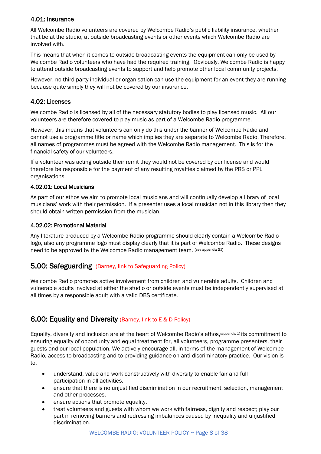### 4.01: Insurance

All Welcombe Radio volunteers are covered by Welcombe Radio's public liability insurance, whether that be at the studio, at outside broadcasting events or other events which Welcombe Radio are involved with.

This means that when it comes to outside broadcasting events the equipment can only be used by Welcombe Radio volunteers who have had the required training. Obviously, Welcombe Radio is happy to attend outside broadcasting events to support and help promote other local community projects.

However, no third party individual or organisation can use the equipment for an event they are running because quite simply they will not be covered by our insurance.

## 4.02: Licenses

Welcombe Radio is licensed by all of the necessary statutory bodies to play licensed music. All our volunteers are therefore covered to play music as part of a Welcombe Radio programme.

However, this means that volunteers can only do this under the banner of Welcombe Radio and cannot use a programme title or name which implies they are separate to Welcombe Radio. Therefore, all names of programmes must be agreed with the Welcombe Radio management. This is for the financial safety of our volunteers.

If a volunteer was acting outside their remit they would not be covered by our license and would therefore be responsible for the payment of any resulting royalties claimed by the PRS or PPL organisations.

#### 4.02.01: Local Musicians

As part of our ethos we aim to promote local musicians and will continually develop a library of local musicians' work with their permission. If a presenter uses a local musician not in this library then they should obtain written permission from the musician.

#### 4.02.02: Promotional Material

Any literature produced by a Welcombe Radio programme should clearly contain a Welcombe Radio logo, also any programme logo must display clearly that it is part of Welcombe Radio. These designs need to be approved by the Welcombe Radio management team. (see appendix 01)

## <span id="page-7-0"></span>5.00: Safeguarding (Barney, link to Safeguarding Policy)

Welcombe Radio promotes active involvement from children and vulnerable adults. Children and vulnerable adults involved at either the studio or outside events must be independently supervised at all times by a responsible adult with a valid DBS certificate.

# <span id="page-7-1"></span>6.00: Equality and Diversity (Barney, link to E & D Policy)

Equality, diversity and inclusion are at the heart of Welcombe Radio's ethos, (appendix 1) its commitment to ensuring equality of opportunity and equal treatment for, all volunteers, programme presenters, their guests and our local population. We actively encourage all, in terms of the management of Welcombe Radio, access to broadcasting and to providing guidance on anti-discriminatory practice. Our vision is to,

- understand, value and work constructively with diversity to enable fair and full participation in all activities.
- ensure that there is no unjustified discrimination in our recruitment, selection, management and other processes.
- ensure actions that promote equality.
- treat volunteers and guests with whom we work with fairness, dignity and respect; play our part in removing barriers and redressing imbalances caused by inequality and unjustified discrimination.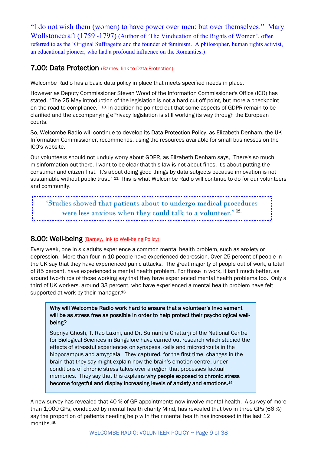"I do not wish them (women) to have power over men; but over themselves." Mary Wollstonecraft (1759~1797) (Author of 'The Vindication of the Rights of Women', often referred to as the 'Original Suffragette and the founder of feminism. A philosopher, human rights activist, an educational pioneer, who had a profound influence on the Romantics.)

## <span id="page-8-0"></span>7.00: Data Protection (Barney, link to Data Protection)

Welcombe Radio has a basic data policy in place that meets specified needs in place.

However as Deputy Commissioner Steven Wood of the Information Commissioner's Office (ICO) has stated, "The 25 May introduction of the legislation is not a hard cut off point, but more a checkpoint on the road to compliance." <sup>10.</sup> In addition he pointed out that some aspects of GDPR remain to be clarified and the accompanying ePrivacy legislation is still working its way through the European courts.

So, Welcombe Radio will continue to develop its Data Protection Policy, as Elizabeth Denham, the UK Information Commissioner, recommends, using the resources available for small businesses on the ICO's website.

Our volunteers should not unduly worry about GDPR, as Elizabeth Denham says, "There's so much misinformation out there. I want to be clear that this law is not about fines. It's about putting the consumer and citizen first. It's about doing good things by data subjects because innovation is not sustainable without public trust." 11. This is what Welcombe Radio will continue to do for our volunteers and community.

'Studies showed that patients about to undergo medical procedures were less anxious when they could talk to a volunteer.' **12.**

# <span id="page-8-1"></span>8.00: Well-being (Barney, link to Well-being Policy)

Every week, one in six adults experience a common mental health problem, such as anxiety or depression. More than four in 10 people have experienced depression. Over 25 percent of people in the UK say that they have experienced panic attacks. The great majority of people out of work, a total of 85 percent, have experienced a mental health problem. For those in work, it isn't much better, as around two-thirds of those working say that they have experienced mental health problems too. Only a third of UK workers, around 33 percent, who have experienced a mental health problem have felt supported at work by their manager.<sup>13.</sup>

Why will Welcombe Radio work hard to ensure that a volunteer's involvement will be as stress free as possible in order to help protect their psychological wellbeing?

memories. They say that this explains why people exposed to chronic stress Supriya Ghosh, T. Rao Laxmi, and Dr. Sumantra Chattarji of the National Centre for Biological Sciences in Bangalore have carried out research which studied the effects of stressful experiences on synapses, cells and microcircuits in the hippocampus and amygdala. They captured, for the first time, changes in the brain that they say might explain how the brain's emotion centre, under conditions of chronic stress takes over a region that processes factual become forgetful and display increasing levels of anxiety and emotions. 14.

A new survey has revealed that 40 % of GP appointments now involve mental health. A survey of more than 1,000 GPs, conducted by mental health charity Mind, has revealed that two in three GPs (66 %) say the proportion of patients needing help with their mental health has increased in the last 12 months.15.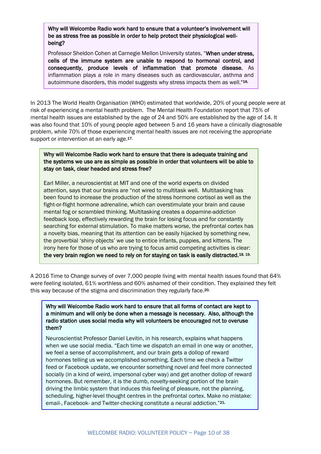Why will Welcombe Radio work hard to ensure that a volunteer's involvement will be as stress free as possible in order to help protect their physiological wellbeing?

Professor Sheldon Cohen at Carnegie Mellon University states, "When under stress, cells of the immune system are unable to respond to hormonal control, and consequently, produce levels of inflammation that promote disease. As inflammation plays a role in many diseases such as cardiovascular, asthma and autoimmune disorders, this model suggests why stress impacts them as well."16.

In 2013 The World Health Organisation (WHO) estimated that worldwide, 20% of young people were at risk of experiencing a mental health problem. The Mental Health Foundation report that 75% of mental health issues are established by the age of 24 and 50% are established by the age of 14. It was also found that 10% of young people aged between 5 and 16 years have a clinically diagnosable problem, while 70% of those experiencing mental health issues are not receiving the appropriate support or intervention at an early age.<sup>17.</sup>

#### i Why will Welcombe Radio work hard to ensure that there is adequate training and the systems we use are as simple as possible in order that volunteers will be able to stay on task, clear headed and stress free?

 searching for external stimulation. To make matters worse, the prefrontal cortex has Earl Miller, a neuroscientist at MIT and one of the world experts on divided attention, says that our brains are "not wired to multitask well. Multitasking has been found to increase the production of the stress hormone cortisol as well as the fight-or-flight hormone adrenaline, which can overstimulate your brain and cause mental fog or scrambled thinking. Multitasking creates a dopamine-addiction feedback loop, effectively rewarding the brain for losing focus and for constantly a novelty bias, meaning that its attention can be easily hijacked by something new, the proverbial 'shiny objects' we use to entice infants, puppies, and kittens. The irony here for those of us who are trying to focus amid competing activities is clear: the very brain region we need to rely on for staying on task is easily distracted.<sup>18.19.</sup>

A 2016 Time to Change survey of over 7,000 people living with mental health issues found that 64% were feeling isolated, 61% worthless and 60% ashamed of their condition. They explained they felt this way because of the stigma and discrimination they regularly face.20.

Why will Welcombe Radio work hard to ensure that all forms of contact are kept to a minimum and will only be done when a message is necessary. Also, although the radio station uses social media why will volunteers be encouraged not to overuse them?

L

<span id="page-9-0"></span> feed or Facebook update, we encounter something novel and feel more connected hormones. But remember, it is the dumb, novelty-seeking portion of the brain scheduling, higher-level thought centres in the prefrontal cortex. Make no mistake:<br>email - Easeback, and Twitter checking constitute a noural addiction "21 Neuroscientist Professor Daniel Levitin, in his research, explains what happens when we use social media. "Each time we dispatch an email in one way or another, we feel a sense of accomplishment, and our brain gets a dollop of reward hormones telling us we accomplished something. Each time we check a Twitter socially (in a kind of weird, impersonal cyber way) and get another dollop of reward driving the limbic system that induces this feeling of pleasure, not the planning, email-, Facebook- and Twitter-checking constitute a neural addiction."21.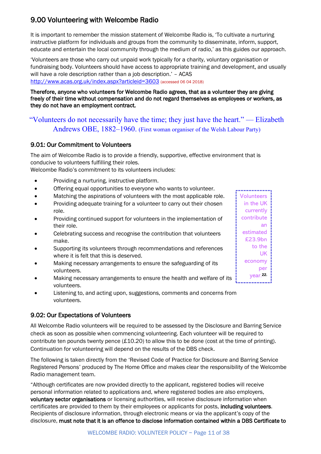# 9.00 Volunteering with Welcombe Radio

It is important to remember the mission statement of Welcombe Radio is, 'To cultivate a nurturing instructive platform for individuals and groups from the community to disseminate, inform, support, educate and entertain the local community through the medium of radio,' as this guides our approach.

'Volunteers are those who carry out unpaid work typically for a charity, voluntary organisation or fundraising body. Volunteers should have access to appropriate training and development, and usually will have a role description rather than a job description.' - ACAS <http://www.acas.org.uk/index.aspx?articleid=3603> (accessed 06 04 2018)

Therefore, anyone who volunteers for Welcombe Radio agrees, that as a volunteer they are giving freely of their time without compensation and do not regard themselves as employees or workers, as they do not have an employment contract.

# "Volunteers do not necessarily have the time; they just have the heart." — Elizabeth Andrews OBE, 1882–1960. (First woman organiser of the Welsh Labour Party)

## 9.01: Our Commitment to Volunteers

The aim of Welcombe Radio is to provide a friendly, supportive, effective environment that is conducive to volunteers fulfilling their roles.

Welcombe Radio's commitment to its volunteers includes:

- Providing a nurturing, instructive platform.
- Offering equal opportunities to everyone who wants to volunteer.
- Matching the aspirations of volunteers with the most applicable role.
- Providing adequate training for a volunteer to carry out their chosen role.
- Providing continued support for volunteers in the implementation of their role.
- Celebrating success and recognise the contribution that volunteers make.
- Supporting its volunteers through recommendations and references where it is felt that this is deserved.
- Making necessary arrangements to ensure the safeguarding of its volunteers.
- Making necessary arrangements to ensure the health and welfare of its volunteers.
- Listening to, and acting upon, suggestions, comments and concerns from volunteers.

#### 9.02: Our Expectations of Volunteers

All Welcombe Radio volunteers will be required to be assessed by the Disclosure and Barring Service check as soon as possible when commencing volunteering. Each volunteer will be required to contribute ten pounds twenty pence (£10.20) to allow this to be done (cost at the time of printing). Continuation for volunteering will depend on the results of the DBS check.

The following is taken directly from the 'Revised Code of Practice for Disclosure and Barring Service Registered Persons' produced by The Home Office and makes clear the responsibility of the Welcombe Radio management team.

"Although certificates are now provided directly to the applicant, registered bodies will receive personal information related to applications and, where registered bodies are also employers, voluntary sector organisations or licensing authorities, will receive disclosure information when certificates are provided to them by their employees or applicants for posts, including volunteers. Recipients of disclosure information, through electronic means or via the applicant's copy of the disclosure, must note that it is an offence to disclose information contained within a DBS Certificate to

currently contribute an estimated £23.9bn to the UK economy per year.22.

**Volunteers** in the UK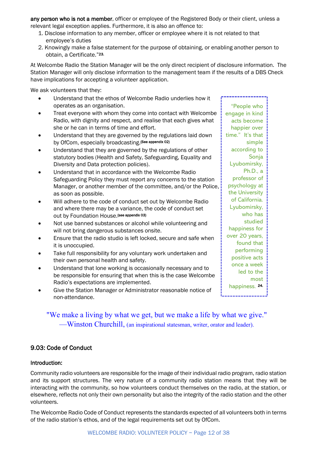any person who is not a member, officer or employee of the Registered Body or their client, unless a relevant legal exception applies. Furthermore, it is also an offence to:

- 1. Disclose information to any member, officer or employee where it is not related to that employee's duties
- 2. Knowingly make a false statement for the purpose of obtaining, or enabling another person to obtain, a Certificate." 23.

At Welcombe Radio the Station Manager will be the only direct recipient of disclosure information. The Station Manager will only disclose information to the management team if the results of a DBS Check have implications for accepting a volunteer application.

We ask volunteers that they:

- Understand that the ethos of Welcombe Radio underlies how it operates as an organisation.
- Treat everyone with whom they come into contact with Welcombe Radio, with dignity and respect, and realise that each gives what she or he can in terms of time and effort.
- Understand that they are governed by the regulations laid down by OfCom, especially broadcasting. (See appendix 02)
- Understand that they are governed by the regulations of other statutory bodies (Health and Safety, Safeguarding, Equality and Diversity and Data protection policies).
- Understand that in accordance with the Welcombe Radio Safeguarding Policy they must report any concerns to the station Manager, or another member of the committee, and/or the Police,  $\frac{1}{2}$ as soon as possible.
- Will adhere to the code of conduct set out by Welcombe Radio and where there may be a variance, the code of conduct set out by Foundation House. (see appendix 03)
- Not use banned substances or alcohol while volunteering and will not bring dangerous substances onsite.
- Ensure that the radio studio is left locked, secure and safe when it is unoccupied.
- Take full responsibility for any voluntary work undertaken and their own personal health and safety.
- Understand that lone working is occasionally necessary and to be responsible for ensuring that when this is the case Welcombe Radio's expectations are implemented.
- Give the Station Manager or Administrator reasonable notice of non-attendance.

acts become happier over time." It's that simple according to Sonia Lyubomirsky, Ph.D., a professor of psychology at the University of California. Lyubomirsky, who has studied happiness for over 20 years, found that performing positive acts once a week led to the most happiness. 24.

"People who engage in kind

"We make a living by what we get, but we make a life by what we give." —Winston Churchill, (an inspirational statesman, writer, orator and leader).

#### 9.03: Code of Conduct

#### Introduction:

Community radio volunteers are responsible for the image of their individual radio program, radio station and its support structures. The very nature of a community radio station means that they will be interacting with the community, so how volunteers conduct themselves on the radio, at the station, or elsewhere, reflects not only their own personality but also the integrity of the radio station and the other volunteers.

The Welcombe Radio Code of Conduct represents the standards expected of all volunteers both in terms of the radio station's ethos, and of the legal requirements set out by OfCom.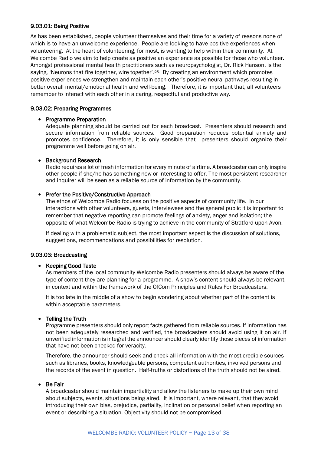#### 9.03.01: Being Positive

As has been established, people volunteer themselves and their time for a variety of reasons none of which is to have an unwelcome experience. People are looking to have positive experiences when volunteering. At the heart of volunteering, for most, is wanting to help within their community. At Welcombe Radio we aim to help create as positive an experience as possible for those who volunteer. Amongst professional mental health practitioners such as neuropsychologist, Dr. Rick Hanson, is the saying, 'Neurons that fire together, wire together'.<sup>25.</sup> By creating an environment which promotes positive experiences we strengthen and maintain each other's positive neural pathways resulting in better overall mental/emotional health and well-being. Therefore, it is important that, all volunteers remember to interact with each other in a caring, respectful and productive way.

#### 9.03.02: Preparing Programmes

#### • Programme Preparation

Adequate planning should be carried out for each broadcast. Presenters should research and secure information from reliable sources. Good preparation reduces potential anxiety and promotes confidence. Therefore, it is only sensible that presenters should organize their programme well before going on air.

#### • Background Research

Radio requires a lot of fresh information for every minute of airtime. A broadcaster can only inspire other people if she/he has something new or interesting to offer. The most persistent researcher and inquirer will be seen as a reliable source of information by the community.

#### • Prefer the Positive/Constructive Approach

The ethos of Welcombe Radio focuses on the positive aspects of community life. In our interactions with other volunteers, guests, interviewees and the general public it is important to remember that negative reporting can promote feelings of anxiety, anger and isolation; the opposite of what Welcombe Radio is trying to achieve in the community of Stratford upon Avon.

If dealing with a problematic subject, the most important aspect is the discussion of solutions, suggestions, recommendations and possibilities for resolution.

#### 9.03.03: Broadcasting

#### • Keeping Good Taste

As members of the local community Welcombe Radio presenters should always be aware of the type of content they are planning for a programme. A show's content should always be relevant, in context and within the framework of the OfCom Principles and Rules For Broadcasters.

It is too late in the middle of a show to begin wondering about whether part of the content is within acceptable parameters.

#### • Telling the Truth

Programme presenters should only report facts gathered from reliable sources. If information has not been adequately researched and verified, the broadcasters should avoid using it on air. If unverified information is integral the announcer should clearly identify those pieces of information that have not been checked for veracity.

Therefore, the announcer should seek and check all information with the most credible sources such as libraries, books, knowledgeable persons, competent authorities, involved persons and the records of the event in question. Half-truths or distortions of the truth should not be aired.

#### • Be Fair

A broadcaster should maintain impartiality and allow the listeners to make up their own mind about subjects, events, situations being aired. It is important, where relevant, that they avoid introducing their own bias, prejudice, partiality, inclination or personal belief when reporting an event or describing a situation. Objectivity should not be compromised.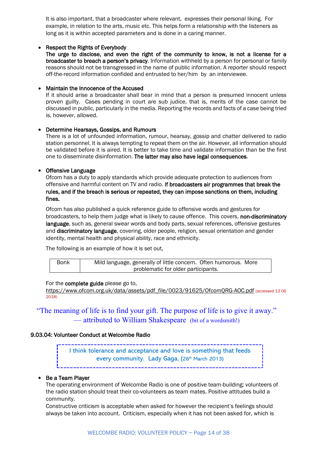It is also important, that a broadcaster where relevant, expresses their personal liking. For example, in relation to the arts, music etc. This helps form a relationship with the listeners as long as it is within accepted parameters and is done in a caring manner.

#### • Respect the Rights of Everybody

The urge to disclose, and even the right of the community to know, is not a license for a broadcaster to breach a person's privacy. Information withheld by a person for personal or family reasons should not be transgressed in the name of public information. A reporter should respect off-the-record information confided and entrusted to her/him by an interviewee.

#### • Maintain the Innocence of the Accused

If it should arise a broadcaster shall bear in mind that a person is presumed innocent unless proven guilty. Cases pending in court are sub judice, that is, merits of the case cannot be discussed in public, particularly in the media. Reporting the records and facts of a case being tried is, however, allowed.

#### • Determine Hearsays, Gossips, and Rumours

There is a lot of unfounded information, rumour, hearsay, gossip and chatter delivered to radio station personnel. It is always tempting to repeat them on the air. However, all information should be validated before it is aired. It is better to take time and validate information than be the first one to disseminate disinformation. The latter may also have legal consequences.

#### • Offensive Language

Ofcom has a duty to apply standards which provide adequate protection to audiences from offensive and harmful content on TV and radio. If broadcasters air programmes that break the rules, and if the breach is serious or repeated, they can impose sanctions on them, including fines.

Ofcom has also published a quick reference guide to offensive words and gestures for broadcasters, to help them judge what is likely to cause offence. This covers, non-discriminatory language, such as, general swear words and body parts, sexual references, offensive gestures and discriminatory language, covering, older people, religion, sexual orientation and gender identity, mental health and physical ability, race and ethnicity.

The following is an example of how it is set out,

| Bonk | Mild language, generally of little concern. Often humorous. More |  |  |  |
|------|------------------------------------------------------------------|--|--|--|
|      | problematic for older participants.                              |  |  |  |

#### For the complete guide please go to,

[https://www.ofcom.org.uk/data/assets/pdf\\_file/0023/91625/OfcomQRG-AOC.pdf](https://www.ofcom.org.uk/data/assets/pdf_file/0023/91625/OfcomQRG-AOC.pdf) (accessed 13 06 2018)

# "The meaning of life is to find your gift. The purpose of life is to give it away." — attributed to William Shakespeare (bit of a wordsmith!)

#### 9.03.04: Volunteer Conduct at Welcombe Radio

I think tolerance and acceptance and love is something that feeds every community. Lady Gaga, (26<sup>th</sup> March 2013)

#### Be a Team Player

The operating environment of Welcombe Radio is one of positive team-building; volunteers of the radio station should treat their co-volunteers as team mates. Positive attitudes build a community.

Constructive criticism is acceptable when asked for however the recipient's feelings should always be taken into account. Criticism, especially when it has not been asked for, which is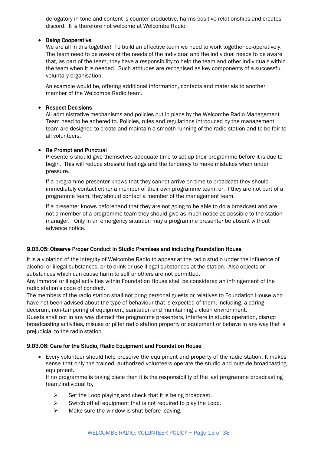derogatory in tone and content is counter-productive, harms positive relationships and creates discord. It is therefore not welcome at Welcombe Radio.

#### • Being Cooperative

We are all in this together! To build an effective team we need to work together co-operatively. The team need to be aware of the needs of the individual and the individual needs to be aware that, as part of the team, they have a responsibility to help the team and other individuals within the team when it is needed. Such attitudes are recognised as key components of a successful voluntary organisation.

An example would be, offering additional information, contacts and materials to another member of the Welcombe Radio team.

#### • Respect Decisions

All administrative mechanisms and policies put in place by the Welcombe Radio Management Team need to be adhered to. Policies, rules and regulations introduced by the management team are designed to create and maintain a smooth running of the radio station and to be fair to all volunteers.

#### • Be Prompt and Punctual

Presenters should give themselves adequate time to set up their programme before it is due to begin. This will reduce stressful feelings and the tendency to make mistakes when under pressure.

If a programme presenter knows that they cannot arrive on time to broadcast they should immediately contact either a member of their own programme team, or, if they are not part of a programme team, they should contact a member of the management team.

If a presenter knows beforehand that they are not going to be able to do a broadcast and are not a member of a programme team they should give as much notice as possible to the station manager. Only in an emergency situation may a programme presenter be absent without advance notice.

#### 9.03.05: Observe Proper Conduct in Studio Premises and including Foundation House

It is a violation of the integrity of Welcombe Radio to appear at the radio studio under the influence of alcohol or illegal substances, or to drink or use illegal substances at the station. Also objects or substances which can cause harm to self or others are not permitted.

Any immoral or illegal activities within Foundation House shall be considered an infringement of the radio station's code of conduct.

The members of the radio station shall not bring personal guests or relatives to Foundation House who have not been advised about the type of behaviour that is expected of them, including, a caring decorum, non-tampering of equipment, sanitation and maintaining a clean environment.

Guests shall not in any way distract the programme presenters, interfere in studio operation, disrupt broadcasting activities, misuse or pilfer radio station property or equipment or behave in any way that is prejudicial to the radio station.

#### 9.03.06: Care for the Studio, Radio Equipment and Foundation House

• Every volunteer should help preserve the equipment and property of the radio station. It makes sense that only the trained, authorized volunteers operate the studio and outside broadcasting equipment.

If no programme is taking place then it is the responsibility of the last programme broadcasting team/individual to,

- $\triangleright$  Set the Loop playing and check that it is being broadcast.
- $\triangleright$  Switch off all equipment that is not required to play the Loop.
- $\triangleright$  Make sure the window is shut before leaving.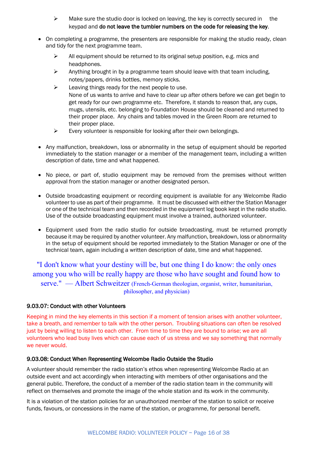- $\triangleright$  Make sure the studio door is locked on leaving, the key is correctly secured in the keypad and do not leave the tumbler numbers on the code for releasing the key.
- On completing a programme, the presenters are responsible for making the studio ready, clean and tidy for the next programme team.
	- $\triangleright$  All equipment should be returned to its original setup position, e.g. mics and headphones.
	- ➢ Anything brought in by a programme team should leave with that team including, notes/papers, drinks bottles, memory sticks.
	- $\triangleright$  Leaving things ready for the next people to use. None of us wants to arrive and have to clear up after others before we can get begin to get ready for our own programme etc. Therefore, it stands to reason that, any cups, mugs, utensils, etc. belonging to Foundation House should be cleaned and returned to their proper place. Any chairs and tables moved in the Green Room are returned to their proper place.
	- ➢ Every volunteer is responsible for looking after their own belongings.
- Any malfunction, breakdown, loss or abnormality in the setup of equipment should be reported immediately to the station manager or a member of the management team, including a written description of date, time and what happened.
- No piece, or part of, studio equipment may be removed from the premises without written approval from the station manager or another designated person.
- Outside broadcasting equipment or recording equipment is available for any Welcombe Radio volunteer to use as part of their programme. It must be discussed with either the Station Manager or one of the technical team and then recorded in the equipment log book kept in the radio studio. Use of the outside broadcasting equipment must involve a trained, authorized volunteer.
- Equipment used from the radio studio for outside broadcasting, must be returned promptly because it may be required by another volunteer. Any malfunction, breakdown, loss or abnormality in the setup of equipment should be reported immediately to the Station Manager or one of the technical team, again including a written description of date, time and what happened.

"I don't know what your destiny will be, but one thing I do know: the only ones among you who will be really happy are those who have sought and found how to serve." — Albert Schweitzer (French-German theologian, organist, writer, humanitarian, philosopher, and physician)

#### 9.03.07: Conduct with other Volunteers

Keeping in mind the key elements in this section if a moment of tension arises with another volunteer, take a breath, and remember to talk with the other person. Troubling situations can often be resolved just by being willing to listen to each other. From time to time they are bound to arise; we are all volunteers who lead busy lives which can cause each of us stress and we say something that normally we never would.

#### 9.03.08: Conduct When Representing Welcombe Radio Outside the Studio

A volunteer should remember the radio station's ethos when representing Welcombe Radio at an outside event and act accordingly when interacting with members of other organisations and the general public. Therefore, the conduct of a member of the radio station team in the community will reflect on themselves and promote the image of the whole station and its work in the community.

It is a violation of the station policies for an unauthorized member of the station to solicit or receive funds, favours, or concessions in the name of the station, or programme, for personal benefit.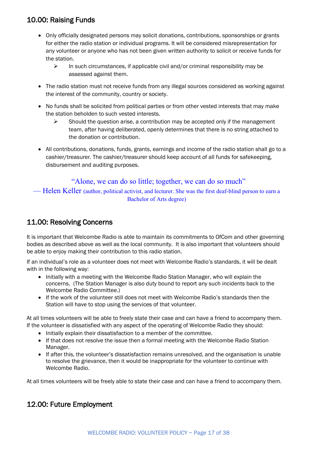# <span id="page-16-0"></span>10.00: Raising Funds

- Only officially designated persons may solicit donations, contributions, sponsorships or grants for either the radio station or individual programs. It will be considered misrepresentation for any volunteer or anyone who has not been given written authority to solicit or receive funds for the station.
	- $\triangleright$  In such circumstances, if applicable civil and/or criminal responsibility may be assessed against them.
- The radio station must not receive funds from any illegal sources considered as working against the interest of the community, country or society.
- No funds shall be solicited from political parties or from other vested interests that may make the station beholden to such vested interests.
	- $\triangleright$  Should the question arise, a contribution may be accepted only if the management team, after having deliberated, openly determines that there is no string attached to the donation or contribution.
- All contributions, donations, funds, grants, earnings and income of the radio station shall go to a cashier/treasurer. The cashier/treasurer should keep account of all funds for safekeeping, disbursement and auditing purposes.

"Alone, we can do so little; together, we can do so much" — Helen Keller (author, political activist, and lecturer. She was the first deaf-blind person to earn a Bachelor of Arts degree)

# <span id="page-16-1"></span>11.00: Resolving Concerns

It is important that Welcombe Radio is able to maintain its commitments to OfCom and other governing bodies as described above as well as the local community. It is also important that volunteers should be able to enjoy making their contribution to this radio station.

If an individual's role as a volunteer does not meet with Welcombe Radio's standards, it will be dealt with in the following way:

- Initially with a meeting with the Welcombe Radio Station Manager, who will explain the concerns. (The Station Manager is also duty bound to report any such incidents back to the Welcombe Radio Committee.)
- If the work of the volunteer still does not meet with Welcombe Radio's standards then the Station will have to stop using the services of that volunteer.

At all times volunteers will be able to freely state their case and can have a friend to accompany them. If the volunteer is dissatisfied with any aspect of the operating of Welcombe Radio they should:

- Initially explain their dissatisfaction to a member of the committee.
- If that does not resolve the issue then a formal meeting with the Welcombe Radio Station Manager.
- If after this, the volunteer's dissatisfaction remains unresolved, and the organisation is unable to resolve the grievance, then it would be inappropriate for the volunteer to continue with Welcombe Radio.

At all times volunteers will be freely able to state their case and can have a friend to accompany them.

# <span id="page-16-2"></span>12.00: Future Employment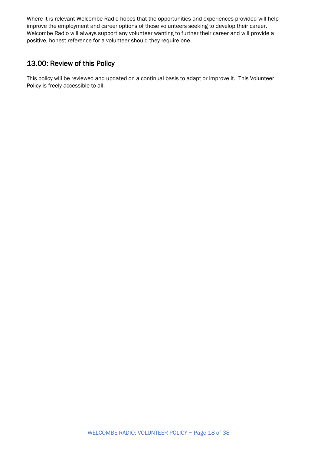Where it is relevant Welcombe Radio hopes that the opportunities and experiences provided will help improve the employment and career options of those volunteers seeking to develop their career. Welcombe Radio will always support any volunteer wanting to further their career and will provide a positive, honest reference for a volunteer should they require one.

# <span id="page-17-0"></span>13.00: Review of this Policy

This policy will be reviewed and updated on a continual basis to adapt or improve it. This Volunteer Policy is freely accessible to all.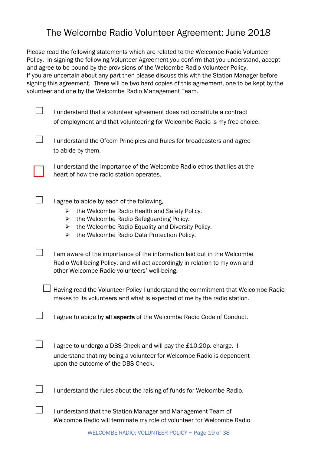# The Welcombe Radio Volunteer Agreement: June 2018

Please read the following statements which are related to the Welcombe Radio Volunteer Policy. In signing the following Volunteer Agreement you confirm that you understand, accept and agree to be bound by the provisions of the Welcombe Radio Volunteer Policy. If you are uncertain about any part then please discuss this with the Station Manager before signing this agreement. There will be two hard copies of this agreement, one to be kept by the volunteer and one by the Welcombe Radio Management Team.

I understand that a volunteer agreement does not constitute a contract of employment and that volunteering for Welcombe Radio is my free choice.

☐ I understand the Ofcom Principles and Rules for broadcasters and agree to abide by them.

I understand the importance of the Welcombe Radio ethos that lies at the heart of how the radio station operates.

 $\Box$  I agree to abide by each of the following,

- ➢ the Welcombe Radio Health and Safety Policy.
- ➢ the Welcombe Radio Safeguarding Policy.
- $\triangleright$  the Welcombe Radio Equality and Diversity Policy.
- ➢ the Welcombe Radio Data Protection Policy.

I am aware of the importance of the information laid out in the Welcombe Radio Well-being Policy, and will act accordingly in relation to my own and other Welcombe Radio volunteers' well-being.

☐ Having read the Volunteer Policy I understand the commitment that Welcombe Radio makes to its volunteers and what is expected of me by the radio station.

I agree to abide by all aspects of the Welcombe Radio Code of Conduct.

□ I agree to undergo a DBS Check and will pay the £10.20p. charge. I understand that my being a volunteer for Welcombe Radio is dependent upon the outcome of the DBS Check.

I understand the rules about the raising of funds for Welcombe Radio.

☐ I understand that the Station Manager and Management Team of Welcombe Radio will terminate my role of volunteer for Welcombe Radio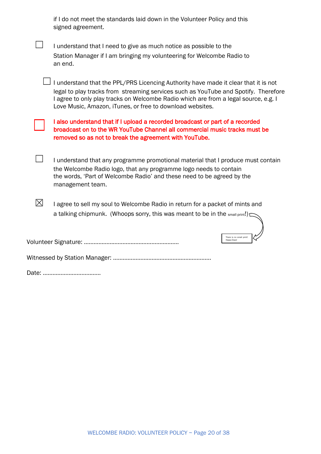|             | if I do not meet the standards laid down in the Volunteer Policy and this<br>signed agreement.                                                                                                                                                                                                                                 |
|-------------|--------------------------------------------------------------------------------------------------------------------------------------------------------------------------------------------------------------------------------------------------------------------------------------------------------------------------------|
|             | I understand that I need to give as much notice as possible to the<br>Station Manager if I am bringing my volunteering for Welcombe Radio to<br>an end.                                                                                                                                                                        |
|             | I understand that the PPL/PRS Licencing Authority have made it clear that it is not<br>legal to play tracks from streaming services such as YouTube and Spotify. Therefore<br>I agree to only play tracks on Welcombe Radio which are from a legal source, e.g. I<br>Love Music, Amazon, iTunes, or free to download websites. |
|             | I also understand that if I upload a recorded broadcast or part of a recorded<br>broadcast on to the WR YouTube Channel all commercial music tracks must be<br>removed so as not to break the agreement with YouTube.                                                                                                          |
|             | I understand that any programme promotional material that I produce must contain<br>the Welcombe Radio logo, that any programme logo needs to contain<br>the words, 'Part of Welcombe Radio' and these need to be agreed by the<br>management team.                                                                            |
| $\boxtimes$ | I agree to sell my soul to Welcombe Radio in return for a packet of mints and<br>a talking chipmunk. (Whoops sorry, this was meant to be in the small print!) $\Box$                                                                                                                                                           |
|             | There is no small print!<br>Hanny Days!                                                                                                                                                                                                                                                                                        |
|             |                                                                                                                                                                                                                                                                                                                                |
|             |                                                                                                                                                                                                                                                                                                                                |

<span id="page-19-0"></span>Date: ………………………………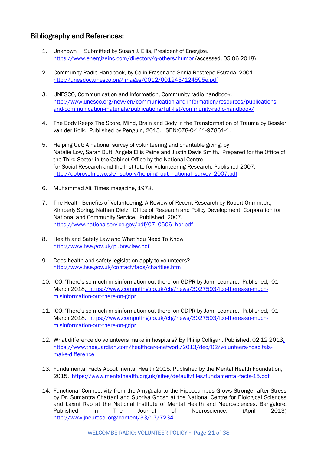## Bibliography and References:

- 1. Unknown Submitted by Susan J. Ellis, President of Energize. <https://www.energizeinc.com/directory/q-others/humor> (accessed, 05 06 2018)
- 2. Community Radio Handbook, by Colin Fraser and Sonia Restrepo Estrada, 2001. <http://unesdoc.unesco.org/images/0012/001245/124595e.pdf>
- 3. UNESCO, Communication and Information, Community radio handbook. [http://www.unesco.org/new/en/communication-and-information/resources/publications](http://www.unesco.org/new/en/communication-and-information/resources/publications-and-communication-materials/publications/full-list/community-radio-handbook/)[and-communication-materials/publications/full-list/community-radio-handbook/](http://www.unesco.org/new/en/communication-and-information/resources/publications-and-communication-materials/publications/full-list/community-radio-handbook/)
- 4. The Body Keeps The Score, Mind, Brain and Body in the Transformation of Trauma by Bessler van der Kolk. Published by Penguin, 2015. ISBN:078-0-141-97861-1.
- 5. Helping Out: A national survey of volunteering and charitable giving, by Natalie Low, Sarah Butt, Angela Ellis Paine and Justin Davis Smith. Prepared for the Office of the Third Sector in the Cabinet Office by the National Centre for Social Research and the Institute for Volunteering Research. Published 2007. [http://dobrovolnictvo.sk/\\_subory/helping\\_out\\_national\\_survey\\_2007.pdf](http://dobrovolnictvo.sk/_subory/helping_out_national_survey_2007.pdf)
- 6. Muhammad Ali, Times magazine, 1978.
- 7. The Health Benefits of Volunteering: A Review of Recent Research by Robert Grimm, Jr., Kimberly Spring, Nathan Dietz. Office of Research and Policy Development, Corporation for National and Community Service. Published, 2007. [https://www.nationalservice.gov/pdf/07\\_0506\\_hbr.pdf](https://www.nationalservice.gov/pdf/07_0506_hbr.pdf)
- 8. Health and Safety Law and What You Need To Know <http://www.hse.gov.uk/pubns/law.pdf>
- 9. Does health and safety legislation apply to volunteers? <http://www.hse.gov.uk/contact/faqs/charities.htm>
- 10. ICO: 'There's so much misinformation out there' on GDPR by John Leonard. Published, 01 March 201[8. https://www.computing.co.uk/ctg/news/3027593/ico-theres-so-much](file:///C:/Users/PLK-H/Documents/00%202018/02%20Welcombe%20Radio/02%20General%20Admin/02%20Policies/Volunteer%20Agreement/.%20%20https:/www.computing.co.uk/ctg/news/3027593/ico-theres-so-much-misinformation-out-there-on-gdpr)[misinformation-out-there-on-gdpr](file:///C:/Users/PLK-H/Documents/00%202018/02%20Welcombe%20Radio/02%20General%20Admin/02%20Policies/Volunteer%20Agreement/.%20%20https:/www.computing.co.uk/ctg/news/3027593/ico-theres-so-much-misinformation-out-there-on-gdpr)
- 11. ICO: 'There's so much misinformation out there' on GDPR by John Leonard. Published, 01 March 201[8. https://www.computing.co.uk/ctg/news/3027593/ico-theres-so-much](file:///C:/Users/PLK-H/Documents/00%202018/02%20Welcombe%20Radio/02%20General%20Admin/02%20Policies/Volunteer%20Agreement/.%20%20https:/www.computing.co.uk/ctg/news/3027593/ico-theres-so-much-misinformation-out-there-on-gdpr)[misinformation-out-there-on-gdpr](file:///C:/Users/PLK-H/Documents/00%202018/02%20Welcombe%20Radio/02%20General%20Admin/02%20Policies/Volunteer%20Agreement/.%20%20https:/www.computing.co.uk/ctg/news/3027593/ico-theres-so-much-misinformation-out-there-on-gdpr)
- 12. What difference do volunteers make in hospitals? By Philip Colligan. Published, 02 12 201[3.](file:///C:/Users/PLK-H/Documents/00%202018/02%20Welcombe%20Radio/02%20General%20Admin/02%20Policies/Volunteer%20Agreement/.%20%20https:/www.theguardian.com/healthcare-network/2013/dec/02/volunteers-hospitals-make-difference)  [https://www.theguardian.com/healthcare-network/2013/dec/02/volunteers-hospitals](file:///C:/Users/PLK-H/Documents/00%202018/02%20Welcombe%20Radio/02%20General%20Admin/02%20Policies/Volunteer%20Agreement/.%20%20https:/www.theguardian.com/healthcare-network/2013/dec/02/volunteers-hospitals-make-difference)[make-difference](file:///C:/Users/PLK-H/Documents/00%202018/02%20Welcombe%20Radio/02%20General%20Admin/02%20Policies/Volunteer%20Agreement/.%20%20https:/www.theguardian.com/healthcare-network/2013/dec/02/volunteers-hospitals-make-difference)
- 13. Fundamental Facts About mental Health 2015. Published by the Mental Health Foundation, 2015. <https://www.mentalhealth.org.uk/sites/default/files/fundamental-facts-15.pdf>
- 14. Functional Connectivity from the Amygdala to the Hippocampus Grows Stronger after Stress by Dr. Sumantra Chattarji and Supriya Ghosh at the National Centre for Biological Sciences and Laxmi Rao at the National Institute of Mental Health and Neurosciences, Bangalore. Published in The Journal of Neuroscience, (April 2013) <http://www.jneurosci.org/content/33/17/7234>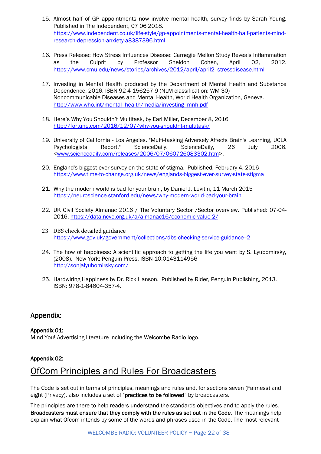- 15. Almost half of GP appointments now involve mental health, survey finds by Sarah Young. Published in The Independent, 07 06 2018. [https://www.independent.co.uk/life-style/gp-appointments-mental-health-half-patients-mind](https://www.independent.co.uk/life-style/gp-appointments-mental-health-half-patients-mind-research-depression-anxiety-a8387396.html)[research-depression-anxiety-a8387396.html](https://www.independent.co.uk/life-style/gp-appointments-mental-health-half-patients-mind-research-depression-anxiety-a8387396.html)
- 16. Press Release: How Stress Influences Disease: Carnegie Mellon Study Reveals Inflammation as the Culprit by Professor Sheldon Cohen, April 02, 2012. [https://www.cmu.edu/news/stories/archives/2012/april/april2\\_stressdisease.html](file:///C:/Users/PLK-H/Documents/00%202018/02%20Welcombe%20Radio/03%20Policies/Volunteer%20Agreement/Latest%20Version/Press%20Release:%20How%20Stress%20Influences%20Disease:%20Carnegie%20Mellon%20Study%20Reveals%20Inflammation%20as%20the%20Culprit%20by%20Professor%20Sheldon%20Cohen,%20April%2002,%202012.%20https:/www.cmu.edu/news/stories/archives/2012/april/april2_stressdisease.html)
- 17. Investing in Mental Health produced by the Department of Mental Health and Substance Dependence, 2016. ISBN 92 4 156257 9 (NLM classification: WM 30) Noncommunicable Diseases and Mental Health, World Health Organization, Geneva. [http://www.who.int/mental\\_health/media/investing\\_mnh.pdf](http://www.who.int/mental_health/media/investing_mnh.pdf)
- 18. Here's Why You Shouldn't Multitask, by [Earl Miller,](http://fortune.com/author/earl-miller/) December 8, 2016 <http://fortune.com/2016/12/07/why-you-shouldnt-multitask/>
- 19. University of California Los Angeles. "Multi-tasking Adversely Affects Brain's Learning, UCLA Psychologists Report." ScienceDaily. ScienceDaily, 26 July 2006. [<www.sciencedaily.com/releases/2006/07/060726083302.htm>](file:///C:/Users/PLK-H/Documents/00%202018/02%20Welcombe%20Radio/03%20Policies/Volunteer%20Agreement/Latest%20Version/www.sciencedaily.com/releases/2006/07/060726083302.htm).
- 20. England's biggest ever survey on the state of stigma. Published, February 4, 2016 <https://www.time-to-change.org.uk/news/englands-biggest-ever-survey-state-stigma>
- 21. Why the modern world is bad for your brain, by Daniel J. Levitin, 11 March 2015 <https://neuroscience.stanford.edu/news/why-modern-world-bad-your-brain>
- 22. UK Civil Society Almanac 2016 / The Voluntary Sector /Sector overview. Published: 07-04- 2016.<https://data.ncvo.org.uk/a/almanac16/economic-value-2/>
- 23. DBS check detailed guidance <https://www.gov.uk/government/collections/dbs-checking-service-guidance--2>
- 24. The how of happiness: A scientific approach to getting the life you want by S. Lyubomirsky, (2008). New York: Penguin Press. ISBN-10:0143114956 <http://sonjalyubomirsky.com/>
- 25. Hardwiring Happiness by Dr. Rick Hanson. Published by Rider, Penguin Publishing, 2013. ISBN: 978-1-84604-357-4.

# <span id="page-21-0"></span>Appendix:

#### Appendix 01:

Mind You! Advertising literature including the Welcombe Radio logo.

#### Appendix 02:

# OfCom Principles and Rules For Broadcasters

The Code is set out in terms of principles, meanings and rules and, for sections seven (Fairness) and eight (Privacy), also includes a set of "practices to be followed" by broadcasters.

The principles are there to help readers understand the standards objectives and to apply the rules. Broadcasters must ensure that they comply with the rules as set out in the Code. The meanings help explain what Ofcom intends by some of the words and phrases used in the Code. The most relevant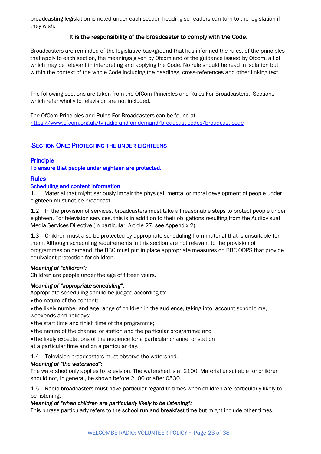broadcasting legislation is noted under each section heading so readers can turn to the legislation if they wish.

### It is the responsibility of the broadcaster to comply with the Code.

Broadcasters are reminded of the legislative background that has informed the rules, of the principles that apply to each section, the meanings given by Ofcom and of the guidance issued by Ofcom, all of which may be relevant in interpreting and applying the Code. No rule should be read in isolation but within the context of the whole Code including the headings, cross-references and other linking text.

The following sections are taken from the OfCom Principles and Rules For Broadcasters. Sections which refer wholly to television are not included.

The OfCom Principles and Rules For Broadcasters can be found at, <https://www.ofcom.org.uk/tv-radio-and-on-demand/broadcast-codes/broadcast-code>

## SECTION ONE: PROTECTING THE UNDER-EIGHTEENS

#### **Principle**

#### To ensure that people under eighteen are protected.

#### Rules

#### Scheduling and content information

1. Material that might seriously impair the physical, mental or moral development of people under eighteen must not be broadcast.

1.2 In the provision of services, broadcasters must take all reasonable steps to protect people under eighteen. For television services, this is in addition to their obligations resulting from the Audiovisual Media Services Directive (in particular, Article 27, see Appendix 2).

1.3 Children must also be protected by appropriate scheduling from material that is unsuitable for them. Although scheduling requirements in this section are not relevant to the provision of programmes on demand, the BBC must put in place appropriate measures on BBC ODPS that provide equivalent protection for children.

#### *Meaning of "children":*

Children are people under the age of fifteen years.

#### *Meaning of "appropriate scheduling":*

Appropriate scheduling should be judged according to:

• the nature of the content;

- the likely number and age range of children in the audience, taking into account school time, weekends and holidays;
- the start time and finish time of the programme;
- the nature of the channel or station and the particular programme; and
- the likely expectations of the audience for a particular channel or station
- at a particular time and on a particular day.

1.4 Television broadcasters must observe the watershed.

#### *Meaning of "the watershed":*

The watershed only applies to television. The watershed is at 2100. Material unsuitable for children should not, in general, be shown before 2100 or after 0530.

1.5 Radio broadcasters must have particular regard to times when children are particularly likely to be listening.

#### *Meaning of "when children are particularly likely to be listening":*

This phrase particularly refers to the school run and breakfast time but might include other times.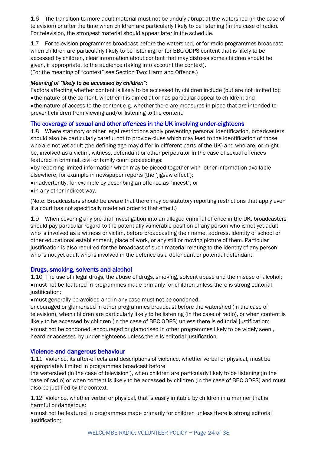1.6 The transition to more adult material must not be unduly abrupt at the watershed (in the case of television) or after the time when children are particularly likely to be listening (in the case of radio). For television, the strongest material should appear later in the schedule.

1.7 For television programmes broadcast before the watershed, or for radio programmes broadcast when children are particularly likely to be listening, or for BBC ODPS content that is likely to be accessed by children, clear information about content that may distress some children should be given, if appropriate, to the audience (taking into account the context). (For the meaning of "context" see Section Two: Harm and Offence.)

#### *Meaning of "likely to be accessed by children":*

Factors affecting whether content is likely to be accessed by children include (but are not limited to):

• the nature of the content, whether it is aimed at or has particular appeal to children; and

• the nature of access to the content e.g. whether there are measures in place that are intended to prevent children from viewing and/or listening to the content.

#### The coverage of sexual and other offences in the UK involving under-eighteens

1.8 Where statutory or other legal restrictions apply preventing personal identification, broadcasters should also be particularly careful not to provide clues which may lead to the identification of those who are not yet adult (the defining age may differ in different parts of the UK) and who are, or might be, involved as a victim, witness, defendant or other perpetrator in the case of sexual offences featured in criminal, civil or family court proceedings:

• by reporting limited information which may be pieced together with other information available elsewhere, for example in newspaper reports (the 'jigsaw effect');

- inadvertently, for example by describing an offence as "incest"; or
- in any other indirect way.

(Note: Broadcasters should be aware that there may be statutory reporting restrictions that apply even if a court has not specifically made an order to that effect.)

1.9 When covering any pre-trial investigation into an alleged criminal offence in the UK, broadcasters should pay particular regard to the potentially vulnerable position of any person who is not yet adult who is involved as a witness or victim, before broadcasting their name, address, identity of school or other educational establishment, place of work, or any still or moving picture of them. Particular justification is also required for the broadcast of such material relating to the identity of any person who is not yet adult who is involved in the defence as a defendant or potential defendant.

#### Drugs, smoking, solvents and alcohol

1.10 The use of illegal drugs, the abuse of drugs, smoking, solvent abuse and the misuse of alcohol: • must not be featured in programmes made primarily for children unless there is strong editorial justification;

• must generally be avoided and in any case must not be condoned,

encouraged or glamorised in other programmes broadcast before the watershed (in the case of television), when children are particularly likely to be listening (in the case of radio), or when content is likely to be accessed by children (in the case of BBC ODPS) unless there is editorial justification; • must not be condoned, encouraged or glamorised in other programmes likely to be widely seen ,

heard or accessed by under-eighteens unless there is editorial justification.

#### Violence and dangerous behaviour

1.11 Violence, its after-effects and descriptions of violence, whether verbal or physical, must be appropriately limited in programmes broadcast before

the watershed (in the case of television ), when children are particularly likely to be listening (in the case of radio) or when content is likely to be accessed by children (in the case of BBC ODPS) and must also be justified by the context.

1.12 Violence, whether verbal or physical, that is easily imitable by children in a manner that is harmful or dangerous:

• must not be featured in programmes made primarily for children unless there is strong editorial justification;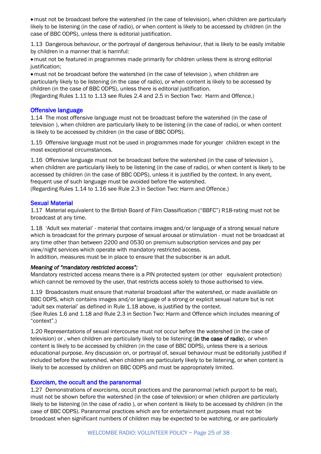• must not be broadcast before the watershed (in the case of television), when children are particularly likely to be listening (in the case of radio), or when content is likely to be accessed by children (in the case of BBC ODPS), unless there is editorial justification.

1.13 Dangerous behaviour, or the portrayal of dangerous behaviour, that is likely to be easily imitable by children in a manner that is harmful:

• must not be featured in programmes made primarily for children unless there is strong editorial justification:

• must not be broadcast before the watershed (in the case of television ), when children are particularly likely to be listening (in the case of radio), or when content is likely to be accessed by children (in the case of BBC ODPS), unless there is editorial justification.

(Regarding Rules 1.11 to 1.13 see Rules 2.4 and 2.5 in Section Two: Harm and Offence.)

#### Offensive language

1.14 The most offensive language must not be broadcast before the watershed (in the case of television ), when children are particularly likely to be listening (in the case of radio), or when content is likely to be accessed by children (in the case of BBC ODPS).

1.15 Offensive language must not be used in programmes made for younger children except in the most exceptional circumstances.

1.16 Offensive language must not be broadcast before the watershed (in the case of television ), when children are particularly likely to be listening (in the case of radio), or when content is likely to be accessed by children (in the case of BBC ODPS), unless it is justified by the context. In any event, frequent use of such language must be avoided before the watershed.

(Regarding Rules 1.14 to 1.16 see Rule 2.3 in Section Two: Harm and Offence.)

#### Sexual Material

1.17 Material equivalent to the British Board of Film Classification ("BBFC") R18-rating must not be broadcast at any time.

1.18 'Adult sex material' - material that contains images and/or language of a strong sexual nature which is broadcast for the primary purpose of sexual arousal or stimulation - must not be broadcast at any time other than between 2200 and 0530 on premium subscription services and pay per view/night services which operate with mandatory restricted access.

In addition, measures must be in place to ensure that the subscriber is an adult.

#### *Meaning of "mandatory restricted access":*

Mandatory restricted access means there is a PIN protected system (or other equivalent protection) which cannot be removed by the user, that restricts access solely to those authorised to view.

1.19 Broadcasters must ensure that material broadcast after the watershed, or made available on BBC ODPS, which contains images and/or language of a strong or explicit sexual nature but is not 'adult sex material' as defined in Rule 1.18 above, is justified by the context.

(See Rules 1.6 and 1.18 and Rule 2.3 in Section Two: Harm and Offence which includes meaning of "context".)

1.20 Representations of sexual intercourse must not occur before the watershed (in the case of television) or, when children are particularly likely to be listening (in the case of radio), or when content is likely to be accessed by children (in the case of BBC ODPS), unless there is a serious educational purpose. Any discussion on, or portrayal of, sexual behaviour must be editorially justified if included before the watershed, when children are particularly likely to be listening, or when content is likely to be accessed by children on BBC ODPS and must be appropriately limited.

#### Exorcism, the occult and the paranormal

1.27 Demonstrations of exorcisms, occult practices and the paranormal (which purport to be real), must not be shown before the watershed (in the case of television) or when children are particularly likely to be listening (in the case of radio ), or when content is likely to be accessed by children (in the case of BBC ODPS). Paranormal practices which are for entertainment purposes must not be broadcast when significant numbers of children may be expected to be watching, or are particularly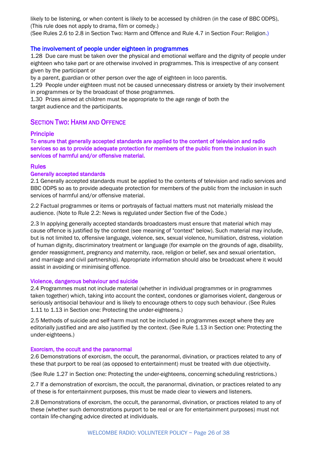likely to be listening, or when content is likely to be accessed by children (in the case of BBC ODPS), (This rule does not apply to drama, film or comedy.)

(See Rules 2.6 to 2.8 in Section Two: Harm and Offence and Rule 4.7 in Section Four: Religion.)

#### The involvement of people under eighteen in programmes

1.28 Due care must be taken over the physical and emotional welfare and the dignity of people under eighteen who take part or are otherwise involved in programmes. This is irrespective of any consent given by the participant or

by a parent, guardian or other person over the age of eighteen in loco parentis.

1.29 People under eighteen must not be caused unnecessary distress or anxiety by their involvement in programmes or by the broadcast of those programmes.

1.30 Prizes aimed at children must be appropriate to the age range of both the target audience and the participants.

#### SECTION TWO: HARM AND OFFENCE

#### Principle

To ensure that generally accepted standards are applied to the content of television and radio services so as to provide adequate protection for members of the public from the inclusion in such services of harmful and/or offensive material.

#### Rules

#### Generally accepted standards

2.1 Generally accepted standards must be applied to the contents of television and radio services and BBC ODPS so as to provide adequate protection for members of the public from the inclusion in such services of harmful and/or offensive material.

2.2 Factual programmes or items or portrayals of factual matters must not materially mislead the audience. (Note to Rule 2.2: News is regulated under Section five of the Code.)

2.3 In applying generally accepted standards broadcasters must ensure that material which may cause offence is justified by the context (see meaning of "context" below). Such material may include, but is not limited to, offensive language, violence, sex, sexual violence, humiliation, distress, violation of human dignity, discriminatory treatment or language (for example on the grounds of age, disability, gender reassignment, pregnancy and maternity, race, religion or belief, sex and sexual orientation, and marriage and civil partnership). Appropriate information should also be broadcast where it would assist in avoiding or minimising offence.

#### Violence, dangerous behaviour and suicide

2.4 Programmes must not include material (whether in individual programmes or in programmes taken together) which, taking into account the context, condones or glamorises violent, dangerous or seriously antisocial behaviour and is likely to encourage others to copy such behaviour. (See Rules 1.11 to 1.13 in Section one: Protecting the under-eighteens.)

2.5 Methods of suicide and self-harm must not be included in programmes except where they are editorially justified and are also justified by the context. (See Rule 1.13 in Section one: Protecting the under-eighteens.)

#### Exorcism, the occult and the paranormal

2.6 Demonstrations of exorcism, the occult, the paranormal, divination, or practices related to any of these that purport to be real (as opposed to entertainment) must be treated with due objectivity.

(See Rule 1.27 in Section one: Protecting the under-eighteens, concerning scheduling restrictions.)

2.7 If a demonstration of exorcism, the occult, the paranormal, divination, or practices related to any of these is for entertainment purposes, this must be made clear to viewers and listeners.

2.8 Demonstrations of exorcism, the occult, the paranormal, divination, or practices related to any of these (whether such demonstrations purport to be real or are for entertainment purposes) must not contain life-changing advice directed at individuals.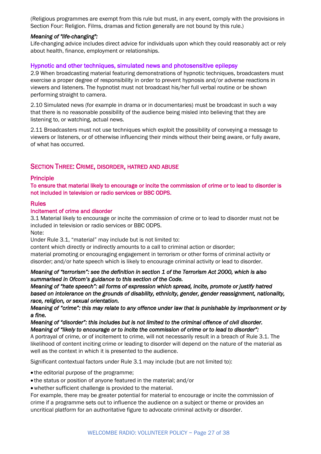(Religious programmes are exempt from this rule but must, in any event, comply with the provisions in Section Four: Religion. Films, dramas and fiction generally are not bound by this rule.)

#### *Meaning of "life-changing":*

Life-changing advice includes direct advice for individuals upon which they could reasonably act or rely about health, finance, employment or relationships.

#### Hypnotic and other techniques, simulated news and photosensitive epilepsy

2.9 When broadcasting material featuring demonstrations of hypnotic techniques, broadcasters must exercise a proper degree of responsibility in order to prevent hypnosis and/or adverse reactions in viewers and listeners. The hypnotist must not broadcast his/her full verbal routine or be shown performing straight to camera.

2.10 Simulated news (for example in drama or in documentaries) must be broadcast in such a way that there is no reasonable possibility of the audience being misled into believing that they are listening to, or watching, actual news.

2.11 Broadcasters must not use techniques which exploit the possibility of conveying a message to viewers or listeners, or of otherwise influencing their minds without their being aware, or fully aware, of what has occurred.

#### SECTION THREE: CRIME, DISORDER, HATRED AND ABUSE

#### **Principle**

To ensure that material likely to encourage or incite the commission of crime or to lead to disorder is not included in television or radio services or BBC ODPS.

#### Rules

#### Incitement of crime and disorder

3.1 Material likely to encourage or incite the commission of crime or to lead to disorder must not be included in television or radio services or BBC ODPS. Note:

Under Rule 3.1, "material" may include but is not limited to:

content which directly or indirectly amounts to a call to criminal action or disorder; material promoting or encouraging engagement in terrorism or other forms of criminal activity or disorder; and/or hate speech which is likely to encourage criminal activity or lead to disorder.

#### *Meaning of "terrorism": see the definition in section 1 of the Terrorism Act 2000, which is also summarised in Ofcom's guidance to this section of the Code.*

*Meaning of "hate speech": all forms of expression which spread, incite, promote or justify hatred based on intolerance on the grounds of disability, ethnicity, gender, gender reassignment, nationality, race, religion, or sexual orientation.* 

*Meaning of "crime": this may relate to any offence under law that is punishable by imprisonment or by a fine.* 

*Meaning of "disorder": this includes but is not limited to the criminal offence of civil disorder. Meaning of "likely to encourage or to incite the commission of crime or to lead to disorder":* 

A portrayal of crime, or of incitement to crime, will not necessarily result in a breach of Rule 3.1. The likelihood of content inciting crime or leading to disorder will depend on the nature of the material as well as the context in which it is presented to the audience.

Significant contextual factors under Rule 3.1 may include (but are not limited to):

• the editorial purpose of the programme;

• the status or position of anyone featured in the material; and/or

•whether sufficient challenge is provided to the material.

For example, there may be greater potential for material to encourage or incite the commission of crime if a programme sets out to influence the audience on a subject or theme or provides an uncritical platform for an authoritative figure to advocate criminal activity or disorder.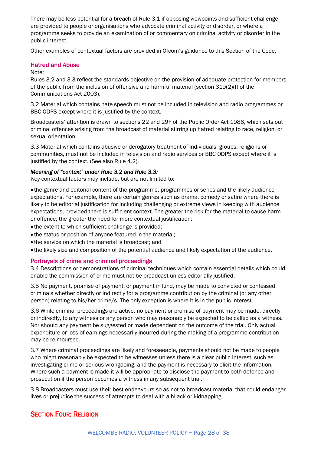There may be less potential for a breach of Rule 3.1 if opposing viewpoints and sufficient challenge are provided to people or organisations who advocate criminal activity or disorder, or where a programme seeks to provide an examination of or commentary on criminal activity or disorder in the public interest.

Other examples of contextual factors are provided in Ofcom's guidance to this Section of the Code.

#### Hatred and Abuse

Note:

Rules 3.2 and 3.3 reflect the standards objective on the provision of adequate protection for members of the public from the inclusion of offensive and harmful material (section 319(2)(f) of the Communications Act 2003).

3.2 Material which contains hate speech must not be included in television and radio programmes or BBC ODPS except where it is justified by the context.

Broadcasters' attention is drawn to sections 22 and 29F of the Public Order Act 1986, which sets out criminal offences arising from the broadcast of material stirring up hatred relating to race, religion, or sexual orientation.

3.3 Material which contains abusive or derogatory treatment of individuals, groups, religions or communities, must not be included in television and radio services or BBC ODPS except where it is justified by the context. (See also Rule 4.2).

#### *Meaning of "context" under Rule 3.2 and Rule 3.3:*

Key contextual factors may include, but are not limited to:

• the genre and editorial content of the programme, programmes or series and the likely audience expectations. For example, there are certain genres such as drama, comedy or satire where there is likely to be editorial justification for including challenging or extreme views in keeping with audience expectations, provided there is sufficient context. The greater the risk for the material to cause harm or offence, the greater the need for more contextual justification;

- the extent to which sufficient challenge is provided;
- the status or position of anyone featured in the material;
- the service on which the material is broadcast; and
- the likely size and composition of the potential audience and likely expectation of the audience.

#### Portrayals of crime and criminal proceedings

3.4 Descriptions or demonstrations of criminal techniques which contain essential details which could enable the commission of crime must not be broadcast unless editorially justified.

3.5 No payment, promise of payment, or payment in kind, may be made to convicted or confessed criminals whether directly or indirectly for a programme contribution by the criminal (or any other person) relating to his/her crime/s. The only exception is where it is in the public interest.

3.6 While criminal proceedings are active, no payment or promise of payment may be made, directly or indirectly, to any witness or any person who may reasonably be expected to be called as a witness. Nor should any payment be suggested or made dependent on the outcome of the trial. Only actual expenditure or loss of earnings necessarily incurred during the making of a programme contribution may be reimbursed.

3.7 Where criminal proceedings are likely and foreseeable, payments should not be made to people who might reasonably be expected to be witnesses unless there is a clear public interest, such as investigating crime or serious wrongdoing, and the payment is necessary to elicit the information. Where such a payment is made it will be appropriate to disclose the payment to both defence and prosecution if the person becomes a witness in any subsequent trial.

3.8 Broadcasters must use their best endeavours so as not to broadcast material that could endanger lives or prejudice the success of attempts to deal with a hijack or kidnapping.

## **SECTION FOUR: RELIGION**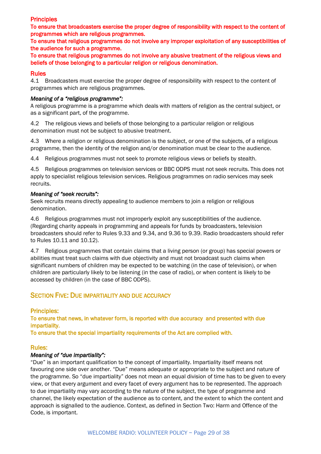#### **Principles**

To ensure that broadcasters exercise the proper degree of responsibility with respect to the content of programmes which are religious programmes.

To ensure that religious programmes do not involve any improper exploitation of any susceptibilities of the audience for such a programme.

To ensure that religious programmes do not involve any abusive treatment of the religious views and beliefs of those belonging to a particular religion or religious denomination.

#### Rules

4.1 Broadcasters must exercise the proper degree of responsibility with respect to the content of programmes which are religious programmes.

#### *Meaning of a "religious programme":*

A religious programme is a programme which deals with matters of religion as the central subject, or as a significant part, of the programme.

4.2 The religious views and beliefs of those belonging to a particular religion or religious denomination must not be subject to abusive treatment.

4.3 Where a religion or religious denomination is the subject, or one of the subjects, of a religious programme, then the identity of the religion and/or denomination must be clear to the audience.

4.4 Religious programmes must not seek to promote religious views or beliefs by stealth.

4.5 Religious programmes on television services or BBC ODPS must not seek recruits. This does not apply to specialist religious television services. Religious programmes on radio services may seek recruits.

#### *Meaning of "seek recruits":*

Seek recruits means directly appealing to audience members to join a religion or religious denomination.

4.6 Religious programmes must not improperly exploit any susceptibilities of the audience. (Regarding charity appeals in programming and appeals for funds by broadcasters, television broadcasters should refer to Rules 9.33 and 9.34, and 9.36 to 9.39. Radio broadcasters should refer to Rules 10.11 and 10.12).

4.7 Religious programmes that contain claims that a living person (or group) has special powers or abilities must treat such claims with due objectivity and must not broadcast such claims when significant numbers of children may be expected to be watching (in the case of television), or when children are particularly likely to be listening (in the case of radio), or when content is likely to be accessed by children (in the case of BBC ODPS).

#### SECTION FIVE: DUE IMPARTIALITY AND DUE ACCURACY

#### Principles:

To ensure that news, in whatever form, is reported with due accuracy and presented with due impartiality.

To ensure that the special impartiality requirements of the Act are complied with.

#### Rules:

#### *Meaning of "due impartiality":*

"Due" is an important qualification to the concept of impartiality. Impartiality itself means not favouring one side over another. "Due" means adequate or appropriate to the subject and nature of the programme. So "due impartiality" does not mean an equal division of time has to be given to every view, or that every argument and every facet of every argument has to be represented. The approach to due impartiality may vary according to the nature of the subject, the type of programme and channel, the likely expectation of the audience as to content, and the extent to which the content and approach is signalled to the audience. Context, as defined in Section Two: Harm and Offence of the Code, is important.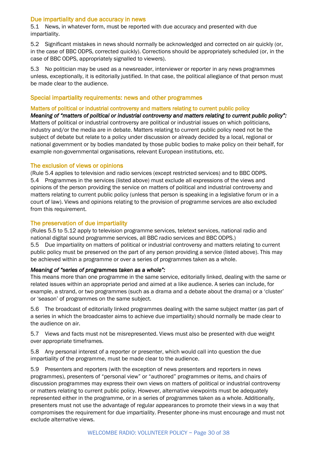#### Due impartiality and due accuracy in news

5.1 News, in whatever form, must be reported with due accuracy and presented with due impartiality.

5.2 Significant mistakes in news should normally be acknowledged and corrected on air quickly (or, in the case of BBC ODPS, corrected quickly). Corrections should be appropriately scheduled (or, in the case of BBC ODPS, appropriately signalled to viewers).

5.3 No politician may be used as a newsreader, interviewer or reporter in any news programmes unless, exceptionally, it is editorially justified. In that case, the political allegiance of that person must be made clear to the audience.

#### Special impartiality requirements: news and other programmes

#### Matters of political or industrial controversy and matters relating to current public policy

*Meaning of "matters of political or industrial controversy and matters relating to current public policy":*  Matters of political or industrial controversy are political or industrial issues on which politicians, industry and/or the media are in debate. Matters relating to current public policy need not be the subject of debate but relate to a policy under discussion or already decided by a local, regional or national government or by bodies mandated by those public bodies to make policy on their behalf, for example non-governmental organisations, relevant European institutions, etc.

#### The exclusion of views or opinions

(Rule 5.4 applies to television and radio services (except restricted services) and to BBC ODPS. 5.4 Programmes in the services (listed above) must exclude all expressions of the views and opinions of the person providing the service on matters of political and industrial controversy and matters relating to current public policy (unless that person is speaking in a legislative forum or in a court of law). Views and opinions relating to the provision of programme services are also excluded from this requirement.

#### The preservation of due impartiality

(Rules 5.5 to 5.12 apply to television programme services, teletext services, national radio and national digital sound programme services, all BBC radio services and BBC ODPS.) 5.5 Due impartiality on matters of political or industrial controversy and matters relating to current public policy must be preserved on the part of any person providing a service (listed above). This may be achieved within a programme or over a series of programmes taken as a whole.

#### *Meaning of "series of programmes taken as a whole":*

This means more than one programme in the same service, editorially linked, dealing with the same or related issues within an appropriate period and aimed at a like audience. A series can include, for example, a strand, or two programmes (such as a drama and a debate about the drama) or a 'cluster' or 'season' of programmes on the same subject.

5.6 The broadcast of editorially linked programmes dealing with the same subject matter (as part of a series in which the broadcaster aims to achieve due impartiality) should normally be made clear to the audience on air.

5.7 Views and facts must not be misrepresented. Views must also be presented with due weight over appropriate timeframes.

5.8 Any personal interest of a reporter or presenter, which would call into question the due impartiality of the programme, must be made clear to the audience.

5.9 Presenters and reporters (with the exception of news presenters and reporters in news programmes), presenters of "personal view" or "authored" programmes or items, and chairs of discussion programmes may express their own views on matters of political or industrial controversy or matters relating to current public policy. However, alternative viewpoints must be adequately represented either in the programme, or in a series of programmes taken as a whole. Additionally, presenters must not use the advantage of regular appearances to promote their views in a way that compromises the requirement for due impartiality. Presenter phone-ins must encourage and must not exclude alternative views.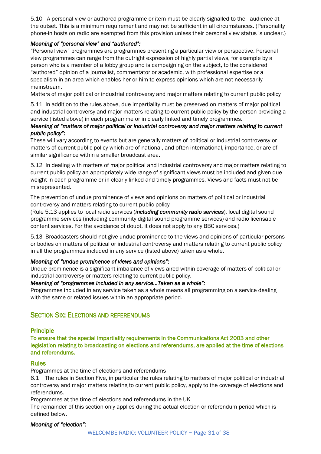5.10 A personal view or authored programme or item must be clearly signalled to the audience at the outset. This is a minimum requirement and may not be sufficient in all circumstances. (Personality phone-in hosts on radio are exempted from this provision unless their personal view status is unclear.)

#### *Meaning of "personal view" and "authored":*

"Personal view" programmes are programmes presenting a particular view or perspective. Personal view programmes can range from the outright expression of highly partial views, for example by a person who is a member of a lobby group and is campaigning on the subject, to the considered "authored" opinion of a journalist, commentator or academic, with professional expertise or a specialism in an area which enables her or him to express opinions which are not necessarily mainstream.

Matters of major political or industrial controversy and major matters relating to current public policy

5.11 In addition to the rules above, due impartiality must be preserved on matters of major political and industrial controversy and major matters relating to current public policy by the person providing a service (listed above) in each programme or in clearly linked and timely programmes.

#### *Meaning of "matters of major political or industrial controversy and major matters relating to current public policy":*

These will vary according to events but are generally matters of political or industrial controversy or matters of current public policy which are of national, and often international, importance, or are of similar significance within a smaller broadcast area.

5.12 In dealing with matters of major political and industrial controversy and major matters relating to current public policy an appropriately wide range of significant views must be included and given due weight in each programme or in clearly linked and timely programmes. Views and facts must not be misrepresented.

The prevention of undue prominence of views and opinions on matters of political or industrial controversy and matters relating to current public policy

(Rule 5.13 applies to local radio services (*including community radio services*), local digital sound programme services (including community digital sound programme services) and radio licensable content services. For the avoidance of doubt, it does not apply to any BBC services.)

5.13 Broadcasters should not give undue prominence to the views and opinions of particular persons or bodies on matters of political or industrial controversy and matters relating to current public policy in all the programmes included in any service (listed above) taken as a whole.

#### *Meaning of "undue prominence of views and opinions":*

Undue prominence is a significant imbalance of views aired within coverage of matters of political or industrial controversy or matters relating to current public policy.

#### *Meaning of "programmes included in any service…Taken as a whole":*

Programmes included in any service taken as a whole means all programming on a service dealing with the same or related issues within an appropriate period.

#### **SECTION SIX: ELECTIONS AND REFERENDUMS**

#### Principle

To ensure that the special impartiality requirements in the Communications Act 2003 and other legislation relating to broadcasting on elections and referendums, are applied at the time of elections and referendums.

#### Rules

Programmes at the time of elections and referendums

6.1 The rules in Section Five, in particular the rules relating to matters of major political or industrial controversy and major matters relating to current public policy, apply to the coverage of elections and referendums.

Programmes at the time of elections and referendums in the UK

The remainder of this section only applies during the actual election or referendum period which is defined below.

#### *Meaning of "election":*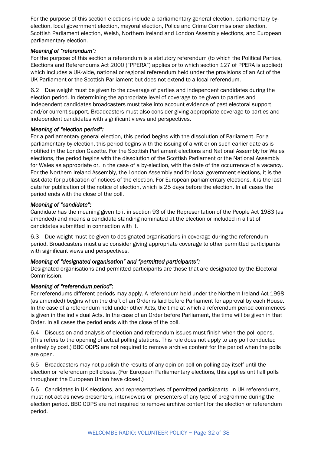For the purpose of this section elections include a parliamentary general election, parliamentary byelection, local government election, mayoral election, Police and Crime Commissioner election, Scottish Parliament election, Welsh, Northern Ireland and London Assembly elections, and European parliamentary election.

#### *Meaning of "referendum":*

For the purpose of this section a referendum is a statutory referendum (to which the Political Parties, Elections and Referendums Act 2000 ("PPERA") applies or to which section 127 of PPERA is applied) which includes a UK-wide, national or regional referendum held under the provisions of an Act of the UK Parliament or the Scottish Parliament but does not extend to a local referendum.

6.2 Due weight must be given to the coverage of parties and independent candidates during the election period. In determining the appropriate level of coverage to be given to parties and independent candidates broadcasters must take into account evidence of past electoral support and/or current support. Broadcasters must also consider giving appropriate coverage to parties and independent candidates with significant views and perspectives.

#### *Meaning of "election period":*

For a parliamentary general election, this period begins with the dissolution of Parliament. For a parliamentary by-election, this period begins with the issuing of a writ or on such earlier date as is notified in the London Gazette. For the Scottish Parliament elections and National Assembly for Wales elections, the period begins with the dissolution of the Scottish Parliament or the National Assembly for Wales as appropriate or, in the case of a by-election, with the date of the occurrence of a vacancy. For the Northern Ireland Assembly, the London Assembly and for local government elections, it is the last date for publication of notices of the election. For European parliamentary elections, it is the last date for publication of the notice of election, which is 25 days before the election. In all cases the period ends with the close of the poll.

#### *Meaning of "candidate":*

Candidate has the meaning given to it in section 93 of the Representation of the People Act 1983 (as amended) and means a candidate standing nominated at the election or included in a list of candidates submitted in connection with it.

6.3 Due weight must be given to designated organisations in coverage during the referendum period. Broadcasters must also consider giving appropriate coverage to other permitted participants with significant views and perspectives.

#### *Meaning of "designated organisation" and "permitted participants":*

Designated organisations and permitted participants are those that are designated by the Electoral Commission.

#### *Meaning of "referendum period":*

For referendums different periods may apply. A referendum held under the Northern Ireland Act 1998 (as amended) begins when the draft of an Order is laid before Parliament for approval by each House. In the case of a referendum held under other Acts, the time at which a referendum period commences is given in the individual Acts. In the case of an Order before Parliament, the time will be given in that Order. In all cases the period ends with the close of the poll.

6.4 Discussion and analysis of election and referendum issues must finish when the poll opens. (This refers to the opening of actual polling stations. This rule does not apply to any poll conducted entirely by post.) BBC ODPS are not required to remove archive content for the period when the polls are open.

6.5 Broadcasters may not publish the results of any opinion poll on polling day itself until the election or referendum poll closes. (For European Parliamentary elections, this applies until all polls throughout the European Union have closed.)

6.6 Candidates in UK elections, and representatives of permitted participants in UK referendums, must not act as news presenters, interviewers or presenters of any type of programme during the election period. BBC ODPS are not required to remove archive content for the election or referendum period.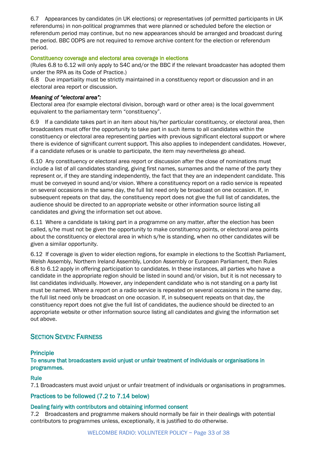6.7 Appearances by candidates (in UK elections) or representatives (of permitted participants in UK referendums) in non-political programmes that were planned or scheduled before the election or referendum period may continue, but no new appearances should be arranged and broadcast during the period. BBC ODPS are not required to remove archive content for the election or referendum period.

#### Constituency coverage and electoral area coverage in elections

(Rules 6.8 to 6.12 will only apply to S4C and/or the BBC if the relevant broadcaster has adopted them under the RPA as its Code of Practice.)

6.8 Due impartiality must be strictly maintained in a constituency report or discussion and in an electoral area report or discussion.

#### *Meaning of "electoral area":*

Electoral area (for example electoral division, borough ward or other area) is the local government equivalent to the parliamentary term "constituency".

6.9 If a candidate takes part in an item about his/her particular constituency, or electoral area, then broadcasters must offer the opportunity to take part in such items to all candidates within the constituency or electoral area representing parties with previous significant electoral support or where there is evidence of significant current support. This also applies to independent candidates. However, if a candidate refuses or is unable to participate, the item may nevertheless go ahead.

6.10 Any constituency or electoral area report or discussion after the close of nominations must include a list of all candidates standing, giving first names, surnames and the name of the party they represent or, if they are standing independently, the fact that they are an independent candidate. This must be conveyed in sound and/or vision. Where a constituency report on a radio service is repeated on several occasions in the same day, the full list need only be broadcast on one occasion. If, in subsequent repeats on that day, the constituency report does not give the full list of candidates, the audience should be directed to an appropriate website or other information source listing all candidates and giving the information set out above.

6.11 Where a candidate is taking part in a programme on any matter, after the election has been called, s/he must not be given the opportunity to make constituency points, or electoral area points about the constituency or electoral area in which s/he is standing, when no other candidates will be given a similar opportunity.

6.12 If coverage is given to wider election regions, for example in elections to the Scottish Parliament, Welsh Assembly, Northern Ireland Assembly, London Assembly or European Parliament, then Rules 6.8 to 6.12 apply in offering participation to candidates. In these instances, all parties who have a candidate in the appropriate region should be listed in sound and/or vision, but it is not necessary to list candidates individually. However, any independent candidate who is not standing on a party list must be named. Where a report on a radio service is repeated on several occasions in the same day, the full list need only be broadcast on one occasion. If, in subsequent repeats on that day, the constituency report does not give the full list of candidates, the audience should be directed to an appropriate website or other information source listing all candidates and giving the information set out above.

## **SECTION SEVEN: FAIRNESS**

#### **Principle**

To ensure that broadcasters avoid unjust or unfair treatment of individuals or organisations in programmes.

#### Rule

7.1 Broadcasters must avoid unjust or unfair treatment of individuals or organisations in programmes.

#### Practices to be followed (7.2 to 7.14 below)

#### Dealing fairly with contributors and obtaining informed consent

7.2 Broadcasters and programme makers should normally be fair in their dealings with potential contributors to programmes unless, exceptionally, it is justified to do otherwise.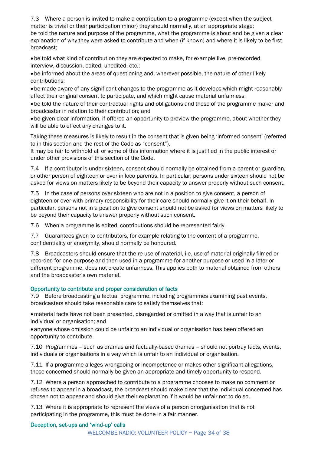7.3 Where a person is invited to make a contribution to a programme (except when the subject matter is trivial or their participation minor) they should normally, at an appropriate stage: be told the nature and purpose of the programme, what the programme is about and be given a clear explanation of why they were asked to contribute and when (if known) and where it is likely to be first broadcast;

• be told what kind of contribution they are expected to make, for example live, pre-recorded, interview, discussion, edited, unedited, etc.;

• be informed about the areas of questioning and, wherever possible, the nature of other likely contributions;

• be made aware of any significant changes to the programme as it develops which might reasonably affect their original consent to participate, and which might cause material unfairness;

• be told the nature of their contractual rights and obligations and those of the programme maker and broadcaster in relation to their contribution; and

• be given clear information, if offered an opportunity to preview the programme, about whether they will be able to effect any changes to it.

Taking these measures is likely to result in the consent that is given being 'informed consent' (referred to in this section and the rest of the Code as "consent").

It may be fair to withhold all or some of this information where it is justified in the public interest or under other provisions of this section of the Code.

7.4 If a contributor is under sixteen, consent should normally be obtained from a parent or guardian, or other person of eighteen or over in loco parentis. In particular, persons under sixteen should not be asked for views on matters likely to be beyond their capacity to answer properly without such consent.

7.5 In the case of persons over sixteen who are not in a position to give consent, a person of eighteen or over with primary responsibility for their care should normally give it on their behalf. In particular, persons not in a position to give consent should not be asked for views on matters likely to be beyond their capacity to answer properly without such consent.

7.6 When a programme is edited, contributions should be represented fairly.

7.7 Guarantees given to contributors, for example relating to the content of a programme, confidentiality or anonymity, should normally be honoured.

7.8 Broadcasters should ensure that the re-use of material, i.e. use of material originally filmed or recorded for one purpose and then used in a programme for another purpose or used in a later or different programme, does not create unfairness. This applies both to material obtained from others and the broadcaster's own material.

#### Opportunity to contribute and proper consideration of facts

7.9 Before broadcasting a factual programme, including programmes examining past events, broadcasters should take reasonable care to satisfy themselves that:

• material facts have not been presented, disregarded or omitted in a way that is unfair to an individual or organisation; and

• anyone whose omission could be unfair to an individual or organisation has been offered an opportunity to contribute.

7.10 Programmes – such as dramas and factually-based dramas – should not portray facts, events, individuals or organisations in a way which is unfair to an individual or organisation.

7.11 If a programme alleges wrongdoing or incompetence or makes other significant allegations, those concerned should normally be given an appropriate and timely opportunity to respond.

7.12 Where a person approached to contribute to a programme chooses to make no comment or refuses to appear in a broadcast, the broadcast should make clear that the individual concerned has chosen not to appear and should give their explanation if it would be unfair not to do so.

7.13 Where it is appropriate to represent the views of a person or organisation that is not participating in the programme, this must be done in a fair manner.

#### Deception, set-ups and 'wind-up' calls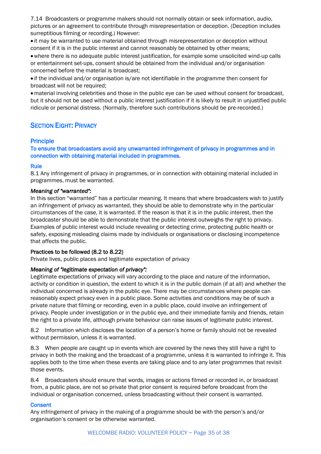7.14 Broadcasters or programme makers should not normally obtain or seek information, audio, pictures or an agreement to contribute through misrepresentation or deception. (Deception includes surreptitious filming or recording.) However:

• it may be warranted to use material obtained through misrepresentation or deception without consent if it is in the public interest and cannot reasonably be obtained by other means;

•where there is no adequate public interest justification, for example some unsolicited wind-up calls or entertainment set-ups, consent should be obtained from the individual and/or organisation concerned before the material is broadcast;

• if the individual and/or organisation is/are not identifiable in the programme then consent for broadcast will not be required;

• material involving celebrities and those in the public eye can be used without consent for broadcast, but it should not be used without a public interest justification if it is likely to result in unjustified public ridicule or personal distress. (Normally, therefore such contributions should be pre-recorded.)

## **SECTION EIGHT: PRIVACY**

#### Principle

To ensure that broadcasters avoid any unwarranted infringement of privacy in programmes and in connection with obtaining material included in programmes.

#### Rule

8.1 Any infringement of privacy in programmes, or in connection with obtaining material included in programmes, must be warranted.

#### *Meaning of "warranted":*

In this section "warranted" has a particular meaning. It means that where broadcasters wish to justify an infringement of privacy as warranted, they should be able to demonstrate why in the particular circumstances of the case, it is warranted. If the reason is that it is in the public interest, then the broadcaster should be able to demonstrate that the public interest outweighs the right to privacy. Examples of public interest would include revealing or detecting crime, protecting public health or safety, exposing misleading claims made by individuals or organisations or disclosing incompetence that affects the public.

#### Practices to be followed (8.2 to 8.22)

Private lives, public places and legitimate expectation of privacy

#### *Meaning of "legitimate expectation of privacy":*

Legitimate expectations of privacy will vary according to the place and nature of the information, activity or condition in question, the extent to which it is in the public domain (if at all) and whether the individual concerned is already in the public eye. There may be circumstances where people can reasonably expect privacy even in a public place. Some activities and conditions may be of such a private nature that filming or recording, even in a public place, could involve an infringement of privacy. People under investigation or in the public eye, and their immediate family and friends, retain the right to a private life, although private behaviour can raise issues of legitimate public interest.

8.2 Information which discloses the location of a person's home or family should not be revealed without permission, unless it is warranted.

8.3 When people are caught up in events which are covered by the news they still have a right to privacy in both the making and the broadcast of a programme, unless it is warranted to infringe it. This applies both to the time when these events are taking place and to any later programmes that revisit those events.

8.4 Broadcasters should ensure that words, images or actions filmed or recorded in, or broadcast from, a public place, are not so private that prior consent is required before broadcast from the individual or organisation concerned, unless broadcasting without their consent is warranted.

#### **Consent**

Any infringement of privacy in the making of a programme should be with the person's and/or organisation's consent or be otherwise warranted.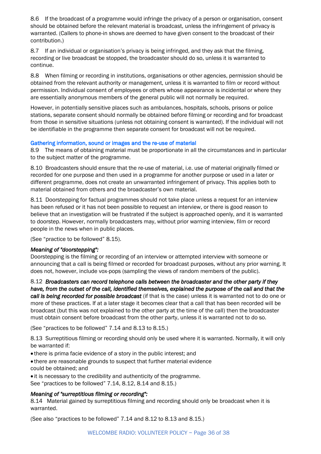8.6 If the broadcast of a programme would infringe the privacy of a person or organisation, consent should be obtained before the relevant material is broadcast, unless the infringement of privacy is warranted. (Callers to phone-in shows are deemed to have given consent to the broadcast of their contribution.)

8.7 If an individual or organisation's privacy is being infringed, and they ask that the filming, recording or live broadcast be stopped, the broadcaster should do so, unless it is warranted to continue.

8.8 When filming or recording in institutions, organisations or other agencies, permission should be obtained from the relevant authority or management, unless it is warranted to film or record without permission. Individual consent of employees or others whose appearance is incidental or where they are essentially anonymous members of the general public will not normally be required.

However, in potentially sensitive places such as ambulances, hospitals, schools, prisons or police stations, separate consent should normally be obtained before filming or recording and for broadcast from those in sensitive situations (unless not obtaining consent is warranted). If the individual will not be identifiable in the programme then separate consent for broadcast will not be required.

#### Gathering information, sound or images and the re-use of material

8.9 The means of obtaining material must be proportionate in all the circumstances and in particular to the subject matter of the programme.

8.10 Broadcasters should ensure that the re-use of material, i.e. use of material originally filmed or recorded for one purpose and then used in a programme for another purpose or used in a later or different programme, does not create an unwarranted infringement of privacy. This applies both to material obtained from others and the broadcaster's own material.

8.11 Doorstepping for factual programmes should not take place unless a request for an interview has been refused or it has not been possible to request an interview, or there is good reason to believe that an investigation will be frustrated if the subject is approached openly, and it is warranted to doorstep. However, normally broadcasters may, without prior warning interview, film or record people in the news when in public places.

(See "practice to be followed" 8.15).

#### *Meaning of "doorstepping":*

Doorstepping is the filming or recording of an interview or attempted interview with someone or announcing that a call is being filmed or recorded for broadcast purposes, without any prior warning. It does not, however, include vox-pops (sampling the views of random members of the public).

8.12 *Broadcasters can record telephone calls between the broadcaster and the other party if they have, from the outset of the call, identified themselves, explained the purpose of the call and that the call is being recorded for possible broadcast* (if that is the case) unless it is warranted not to do one or more of these practices. If at a later stage it becomes clear that a call that has been recorded will be broadcast (but this was not explained to the other party at the time of the call) then the broadcaster must obtain consent before broadcast from the other party, unless it is warranted not to do so.

(See "practices to be followed" 7.14 and 8.13 to 8.15.)

8.13 Surreptitious filming or recording should only be used where it is warranted. Normally, it will only be warranted if:

- there is prima facie evidence of a story in the public interest; and
- there are reasonable grounds to suspect that further material evidence could be obtained; and

• it is necessary to the credibility and authenticity of the programme. See "practices to be followed" 7.14, 8.12, 8.14 and 8.15.)

#### *Meaning of "surreptitious filming or recording":*

8.14 Material gained by surreptitious filming and recording should only be broadcast when it is warranted.

(See also "practices to be followed" 7.14 and 8.12 to 8.13 and 8.15.)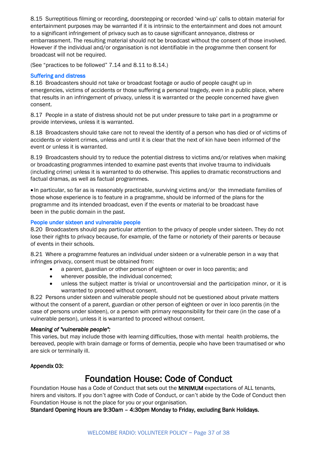8.15 Surreptitious filming or recording, doorstepping or recorded 'wind-up' calls to obtain material for entertainment purposes may be warranted if it is intrinsic to the entertainment and does not amount to a significant infringement of privacy such as to cause significant annoyance, distress or embarrassment. The resulting material should not be broadcast without the consent of those involved. However if the individual and/or organisation is not identifiable in the programme then consent for broadcast will not be required.

(See "practices to be followed" 7.14 and 8.11 to 8.14.)

#### Suffering and distress

8.16 Broadcasters should not take or broadcast footage or audio of people caught up in emergencies, victims of accidents or those suffering a personal tragedy, even in a public place, where that results in an infringement of privacy, unless it is warranted or the people concerned have given consent.

8.17 People in a state of distress should not be put under pressure to take part in a programme or provide interviews, unless it is warranted.

8.18 Broadcasters should take care not to reveal the identity of a person who has died or of victims of accidents or violent crimes, unless and until it is clear that the next of kin have been informed of the event or unless it is warranted.

8.19 Broadcasters should try to reduce the potential distress to victims and/or relatives when making or broadcasting programmes intended to examine past events that involve trauma to individuals (including crime) unless it is warranted to do otherwise. This applies to dramatic reconstructions and factual dramas, as well as factual programmes.

• In particular, so far as is reasonably practicable, surviving victims and/or the immediate families of those whose experience is to feature in a programme, should be informed of the plans for the programme and its intended broadcast, even if the events or material to be broadcast have been in the public domain in the past.

#### People under sixteen and vulnerable people

8.20 Broadcasters should pay particular attention to the privacy of people under sixteen. They do not lose their rights to privacy because, for example, of the fame or notoriety of their parents or because of events in their schools.

8.21 Where a programme features an individual under sixteen or a vulnerable person in a way that infringes privacy, consent must be obtained from:

- a parent, guardian or other person of eighteen or over in loco parentis; and
- wherever possible, the individual concerned;
- unless the subject matter is trivial or uncontroversial and the participation minor, or it is warranted to proceed without consent.

8.22 Persons under sixteen and vulnerable people should not be questioned about private matters without the consent of a parent, guardian or other person of eighteen or over in loco parentis (in the case of persons under sixteen), or a person with primary responsibility for their care (in the case of a vulnerable person), unless it is warranted to proceed without consent.

#### *Meaning of "vulnerable people":*

This varies, but may include those with learning difficulties, those with mental health problems, the bereaved, people with brain damage or forms of dementia, people who have been traumatised or who are sick or terminally ill.

#### Appendix 03:

# Foundation House: Code of Conduct

Foundation House has a Code of Conduct that sets out the MINIMUM expectations of ALL tenants, hirers and visitors. If you don't agree with Code of Conduct, or can't abide by the Code of Conduct then Foundation House is not the place for you or your organisation.

Standard Opening Hours are 9:30am – 4:30pm Monday to Friday, excluding Bank Holidays.